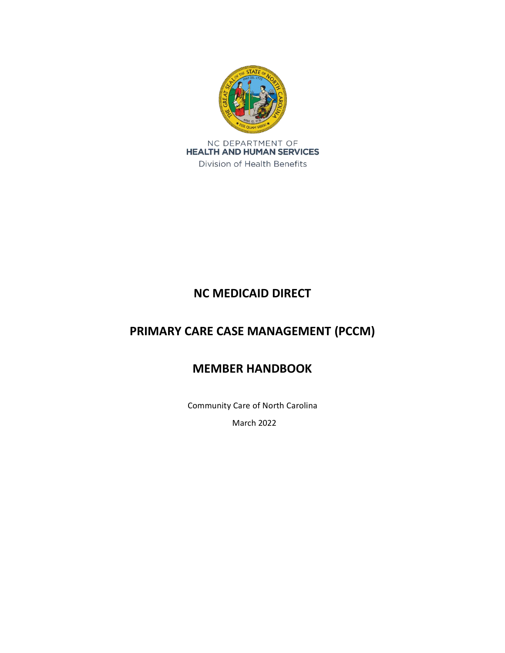

# **NC MEDICAID DIRECT**

# **PRIMARY CARE CASE MANAGEMENT (PCCM)**

# **MEMBER HANDBOOK**

Community Care of North Carolina

March 2022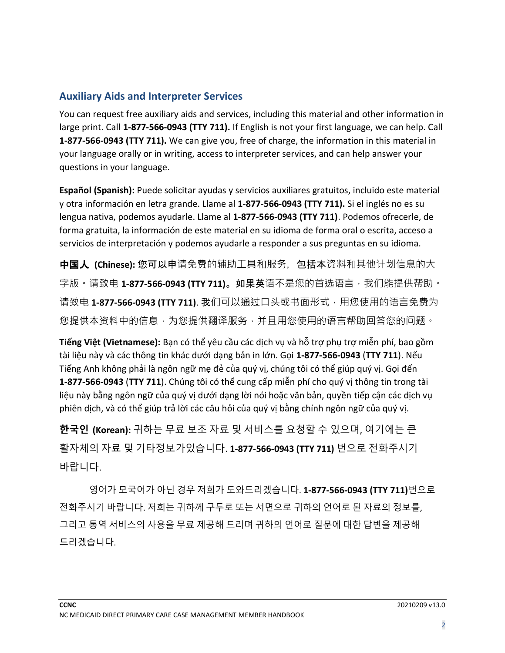# **Auxiliary Aids and Interpreter Services**

You can request free auxiliary aids and services, including this material and other information in large print. Call **1-877-566-0943 (TTY 711).** If English is not your first language, we can help. Call **1-877-566-0943 (TTY 711).** We can give you, free of charge, the information in this material in your language orally or in writing, access to interpreter services, and can help answer your questions in your language.

**Español (Spanish):** Puede solicitar ayudas y servicios auxiliares gratuitos, incluido este material y otra información en letra grande. Llame al **1-877-566-0943 (TTY 711).** Si el inglés no es su lengua nativa, podemos ayudarle. Llame al **1-877-566-0943 (TTY 711)**. Podemos ofrecerle, de forma gratuita, la información de este material en su idioma de forma oral o escrita, acceso a servicios de interpretación y podemos ayudarle a responder a sus preguntas en su idioma.

中国人 **(Chinese):** 您可以申请免费的辅助工具和服务,包括本资料和其他计划信息的大 字版 • 请致电 **1-877-566-0943 (TTY 711)**。如果英语不是您的首选语言 · 我们能提供帮助 • 请致电 1-877-566-0943 (TTY 711). 我们可以通过口头或书面形式, 用您使用的语言免费为 您提供本资料中的信息,为您提供翻译服务,并且用您使用的语言帮助回答您的问题。

**Tiếng Việt (Vietnamese):** Bạn có thể yêu cầu các dịch vụ và hỗ trợ phụ trợ miễn phí, bao gồm tài liệu này và các thông tin khác dưới dạng bản in lớn. Gọi **1-877-566-0943** (**TTY 711**). Nếu Tiếng Anh không phải là ngôn ngữ mẹ đẻ của quý vị, chúng tôi có thể giúp quý vị. Gọi đến **1-877-566-0943** (**TTY 711**). Chúng tôi có thể cung cấp miễn phí cho quý vị thông tin trong tài liệu này bằng ngôn ngữ của quý vị dưới dạng lời nói hoặc văn bản, quyền tiếp cận các dịch vụ phiên dịch, và có thể giúp trả lời các câu hỏi của quý vị bằng chính ngôn ngữ của quý vị.

**한국인 (Korean):** 귀하는 무료 보조 자료 및 서비스를 요청할 수 있으며, 여기에는 큰 활자체의 자료 및 기타정보가있습니다. **1-877-566-0943 (TTY 711)** 번으로 전화주시기 바랍니다.

영어가 모국어가 아닌 경우 저희가 도와드리겠습니다. **1-877-566-0943 (TTY 711)**번으로 전화주시기 바랍니다. 저희는 귀하께 구두로 또는 서면으로 귀하의 언어로 된 자료의 정보를, 그리고 통역 서비스의 사용을 무료 제공해 드리며 귀하의 언어로 질문에 대한 답변을 제공해 드리겠습니다.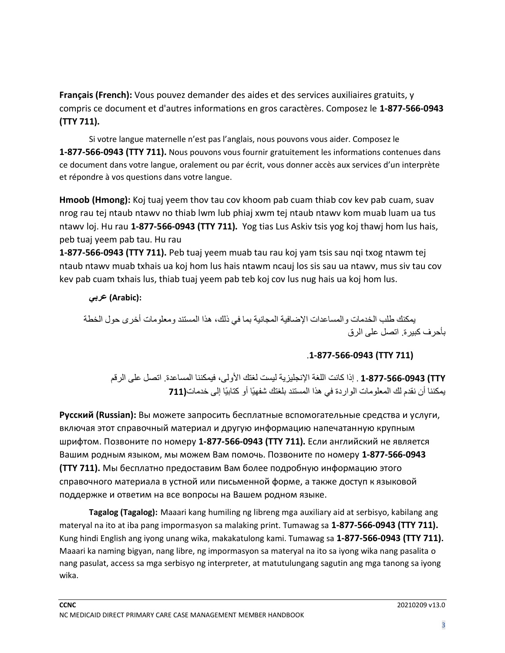**Français (French):** Vous pouvez demander des aides et des services auxiliaires gratuits, y compris ce document et d'autres informations en gros caractères. Composez le **1-877-566-0943 (TTY 711).**

Si votre langue maternelle n'est pas l'anglais, nous pouvons vous aider. Composez le **1-877-566-0943 (TTY 711).** Nous pouvons vous fournir gratuitement les informations contenues dans ce document dans votre langue, oralement ou par écrit, vous donner accès aux services d'un interprète et répondre à vos questions dans votre langue.

**Hmoob (Hmong):** Koj tuaj yeem thov tau cov khoom pab cuam thiab cov kev pab cuam, suav nrog rau tej ntaub ntawv no thiab lwm lub phiaj xwm tej ntaub ntawv kom muab luam ua tus ntawv loj. Hu rau **1-877-566-0943 (TTY 711).** Yog tias Lus Askiv tsis yog koj thawj hom lus hais, peb tuaj yeem pab tau. Hu rau

**1-877-566-0943 (TTY 711).** Peb tuaj yeem muab tau rau koj yam tsis sau nqi txog ntawm tej ntaub ntawv muab txhais ua koj hom lus hais ntawm ncauj los sis sau ua ntawv, mus siv tau cov kev pab cuam txhais lus, thiab tuaj yeem pab teb koj cov lus nug hais ua koj hom lus.

## **:(Arabic (عربي**

يمكنك طلب الخدمات والمساعدات اإلضافية المجانية بما في ذلك، هذا المستند ومعلومات أخرى حول الخطة بأحرف كبيرة. اتصل على الرق

# .**1-877-566-0943 (TTY 711)**

 **TTY (1-877-566-0943** . إذا كانت اللغة اإلنجليزية ليست لغتك األولى، فيمكننا المساعدة. اتصل على الرقم يمكننا أن نقدم لك المعلومات الواردة في هذا المستند بلغتك شفهيًا أو كتابيًا إلى خدمات**(711**

**Pусский (Russian):** Вы можете запросить бесплатные вспомогательные средства и услуги, включая этот справочный материал и другую информацию напечатанную крупным шрифтом. Позвоните по номеру **1-877-566-0943 (TTY 711).** Если английский не является Вашим родным языком, мы можем Вам помочь. Позвоните по номеру **1-877-566-0943 (TTY 711).** Мы бесплатно предоставим Вам более подробную информацию этого справочного материала в устной или письменной форме, а также доступ к языковой поддержке и ответим на все вопросы на Вашем родном языке.

**Tagalog (Tagalog):** Maaari kang humiling ng libreng mga auxiliary aid at serbisyo, kabilang ang materyal na ito at iba pang impormasyon sa malaking print. Tumawag sa **1-877-566-0943 (TTY 711).** Kung hindi English ang iyong unang wika, makakatulong kami. Tumawag sa **1-877-566-0943 (TTY 711).** Maaari ka naming bigyan, nang libre, ng impormasyon sa materyal na ito sa iyong wika nang pasalita o nang pasulat, access sa mga serbisyo ng interpreter, at matutulungang sagutin ang mga tanong sa iyong wika.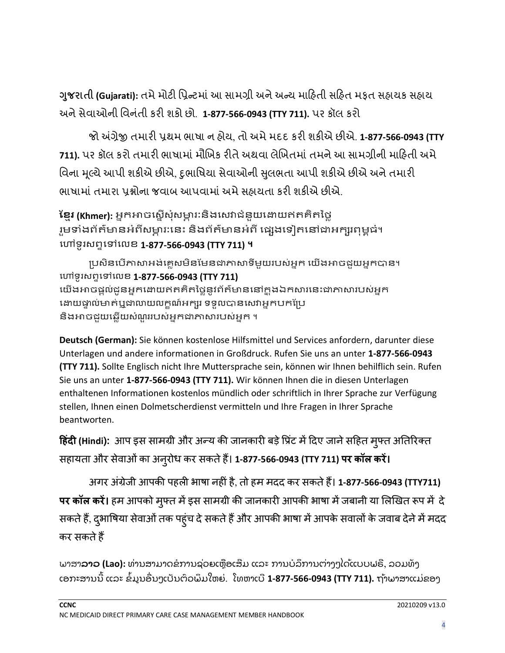**ગુજરાતી (Gujarati):** તમે મોટી પ્રિન્ટમાં આ સામગ્રી અને અન્ય માહિતી સહિત મફત સહ્યવક સહ્યવ અનેસેવ ઓની પ્રવનાંતી કરી શકો છો. **1-877-566-0943 (TTY 711).** પર કૉલ કરો

જો અંગ્રેજી તમ રી િથમ ભ ષ ન િોય, તો અમેમદદ કરી શકીએ છીએ. **1-877-566-0943 (TTY**  <mark>711).</mark> પર કૉલ કરો તમારી ભાષામાં મૌખિક રીતે અથવા લેખિતમાં તમને આ સામગ્રીની માહિતી અમે વિના મૂલ્યે આપી શકીએ છીએ, દુભાષિયા સેવાઓની સુલભતા આપી શકીએ છીએ અને તમારી ભાષામાં તમારા પ્રશ્નોના જવાબ આપવામાં અમે સહ્યચતા કરી શકીએ છીએ.

**ខ្មែរ (Khmer):** អ្នកអាចស្តើសុំសម្ភារ:និងសេវាជំនួយដោយឥតគិតថ្លៃ រួមទាំងព័ត៌មានអំពីសម្ពារ:នេះ និងព័ត៌មានអំពី ផ្សេងទៀតនៅជាអក្សរពុម្ពធំ។ សៅ ូរ្ពទសៅសេខ **1-877-566-0943 (TTY 711) ។**

ប្រសិនបើភាសាអង់គ្លេសមិនមែនជាភាសាទីមួយរបស់អ្នក យើងអាចជួយអ្នកបាន។ សៅ ូរ្ពទសៅសេខ **1-877-566-0943 (TTY 711)** យើងអាចផ្តល់ជូនអ្នកដោយឥតគិតថ្លៃនូវព័ត៌មាននៅក្នុងឯកសារនេះជាភាសារបស់អ្នក ដោយផ្ទាល់មាត់ឬជាលាយលក្ខណ៍អក្សរ ទទួលបានសេវាអ្នកបកប្រែ និងអាចជួយឆ្លើយសំណួររបស់អ្នកជាភាសារបស់អ្នក ។

**Deutsch (German):** Sie können kostenlose Hilfsmittel und Services anfordern, darunter diese Unterlagen und andere informationen in Großdruck. Rufen Sie uns an unter **1-877-566-0943 (TTY 711).** Sollte Englisch nicht Ihre Muttersprache sein, können wir Ihnen behilflich sein. Rufen Sie uns an unter **1-877-566-0943 (TTY 711).** Wir können Ihnen die in diesen Unterlagen enthaltenen Informationen kostenlos mündlich oder schriftlich in Ihrer Sprache zur Verfügung stellen, Ihnen einen Dolmetscherdienst vermitteln und Ihre Fragen in Ihrer Sprache beantworten.

**हिंदी (Hindi):** आप इस सामग्री और अन्य की जानकारी बड़े प्रिंट में दिए जाने सहित मुफ्त अतिरिक्त सिायता और स़ेवाओिंका अनुरोध कर सकत़ेिैं। **1-877-566-0943 (TTY 711) पर कॉल करें।**

अगर अिंग्ऱेजी आपकी पिली भाषा निीिंिै, तो िम मिि कर सकत़ेिैं। **1-877-566-0943 (TTY711) पर कॉल करें।** हम आपको मुफ्त में इस सामग्री की जानकारी आपकी भाषा में जबानी या लिखित रूप में दे सकते हैं, दुभाषिया सेवाओं तक पहुंच दे सकते हैं और आपकी भाषा में आपके सवालों के जवाब देने में मदद कर सकते हैं

ພາສາ**ລາວ (Lao):** ທ່ານສາມາດຂໍການຊ່ວຍເຫຼືອເສີມ ແລະ ການບໍລິການຕ່າງໆໄດ້ແບບຟຣີ, ລວມທັງ ເອກະສານນີ້ ແລະ ຂໍ້ມູນອື່ນໆເປັນຕົວພິມໃຫຍ່. ໂທຫາເບີ **1-877-566-0943 (TTY 711).** ຖ້າພາສາແມ່ຂອງ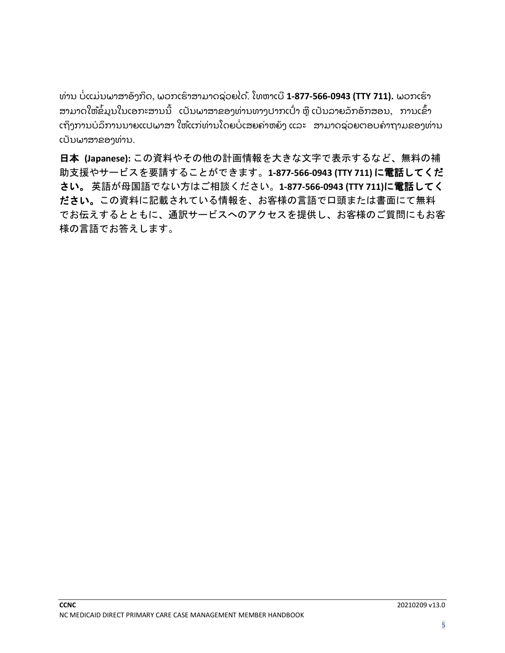ທ່ານ ບໍ່ແມ່ນພາສາອັງກິດ, ພວກເຮົາສາມາດຊ່ວຍໄດ້. ໂທຫາເບີ **1-877-566-0943 (TTY 711).** ພວກເຮົາ ສາມາດໃຫ້ຂໍ້ມູນໃນເອກະສານນີ້ ເປັນພາສາຂອງທ່ານທາງປາກເປົ່າ ຫຼື ເປັນລາຍລັກອັກສອນ, ການເຂົ້າ ເຖິງການບໍລິການນາຍແປພາສາ ໃຫ້ແກ່ທ່ານໂດຍບໍ່ເສຍຄ່າຫຍັງ ແລະ ສາມາດຊ່ວຍຕອບຄຳຖາມຂອງທ່ານ ເປັນພາສາຂອງທ່ານ.

日本 **(Japanese):** この資料やその他の計画情報を大きな文字で表示するなど、無料の補 助支援やサービスを要請することができます。**1-877-566-0943 (TTY 711)** に電話してくだ さい。 英語が母国語でない方はご相談ください。**1-877-566-0943 (TTY 711)**に電話してく ださい。この資料に記載されている情報を、お客様の言語で口頭または書面にて無料 でお伝えするとともに、通訳サービスへのアクセスを提供し、お客様のご質問にもお客 様の言語でお答えします。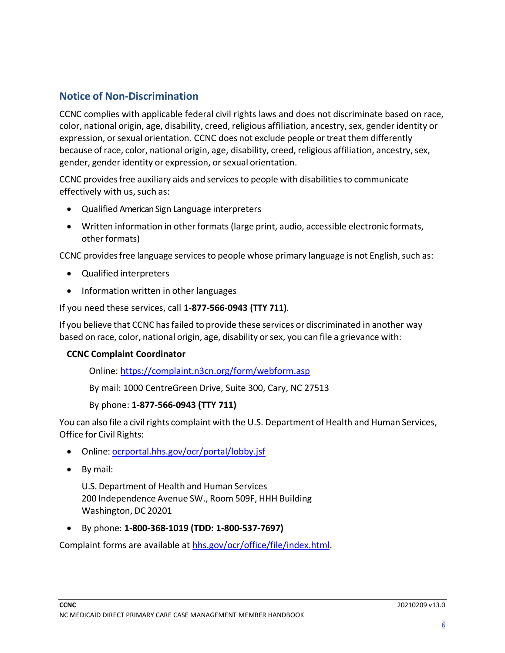# **Notice of Non-Discrimination**

CCNC complies with applicable federal civil rights laws and does not discriminate based on race, color, national origin, age, disability, creed, religious affiliation, ancestry,sex, gender identity or expression, or sexual orientation. CCNC does not exclude people or treat them differently because of race, color, national origin, age, disability, creed, religious affiliation, ancestry, sex, gender, gender identity or expression, or sexual orientation.

CCNC providesfree auxiliary aids and servicesto people with disabilitiesto communicate effectively with us, such as:

- Qualified American Sign Language interpreters
- Written information in other formats (large print, audio, accessible electronic formats, other formats)

CCNC provides free language services to people whose primary language is not English, such as:

- Qualified interpreters
- Information written in other languages

#### If you need these services, call **1-877-566-0943 (TTY 711)**.

If you believe that CCNC hasfailed to provide these services or discriminated in another way based on race, color, national origin, age, disability orsex, you can file a grievance with:

#### **CCNC Complaint Coordinator**

Online: <https://complaint.n3cn.org/form/webform.asp>

By mail: 1000 CentreGreen Drive, Suite 300, Cary, NC 27513

#### By phone: **1-877-566-0943 (TTY 711)**

You can also file a civil rights complaint with the U.S. Department of Health and Human Services, Office for Civil Rights:

- Online: [ocrportal.hhs.gov/ocr/portal/lobby.jsf](https://ocrportal.hhs.gov/ocr/smartscreen/main.jsf)
- By mail:

U.S. Department of Health and Human Services 200 Independence Avenue SW., Room 509F, HHH Building Washington, DC 20201

• By phone: **1-800-368-1019 (TDD: 1-800-537-7697)**

Complaint forms are available at [hhs.gov/ocr/office/file/index.html.](https://www.hhs.gov/ocr/complaints/index.html)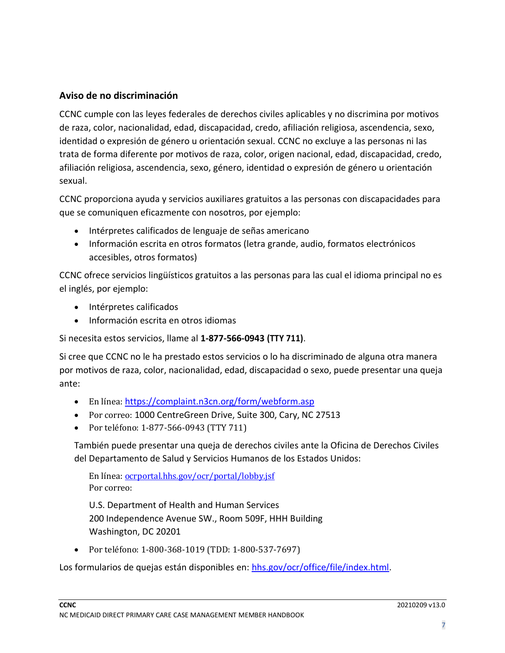# **Aviso de no discriminación**

CCNC cumple con las leyes federales de derechos civiles aplicables y no discrimina por motivos de raza, color, nacionalidad, edad, discapacidad, credo, afiliación religiosa, ascendencia, sexo, identidad o expresión de género u orientación sexual. CCNC no excluye a las personas ni las trata de forma diferente por motivos de raza, color, origen nacional, edad, discapacidad, credo, afiliación religiosa, ascendencia, sexo, género, identidad o expresión de género u orientación sexual.

CCNC proporciona ayuda y servicios auxiliares gratuitos a las personas con discapacidades para que se comuniquen eficazmente con nosotros, por ejemplo:

- Intérpretes calificados de lenguaje de señas americano
- Información escrita en otros formatos (letra grande, audio, formatos electrónicos accesibles, otros formatos)

CCNC ofrece servicios lingüísticos gratuitos a las personas para las cual el idioma principal no es el inglés, por ejemplo:

- Intérpretes calificados
- Información escrita en otros idiomas

Si necesita estos servicios, llame al **1-877-566-0943 (TTY 711)**.

Si cree que CCNC no le ha prestado estos servicios o lo ha discriminado de alguna otra manera por motivos de raza, color, nacionalidad, edad, discapacidad o sexo, puede presentar una queja ante:

- En línea: <https://complaint.n3cn.org/form/webform.asp>
- Por correo: 1000 CentreGreen Drive, Suite 300, Cary, NC 27513
- Por teléfono: 1-877-566-0943 (TTY 711)

También puede presentar una queja de derechos civiles ante la Oficina de Derechos Civiles del Departamento de Salud y Servicios Humanos de los Estados Unidos:

En línea: [ocrportal.hhs.gov/ocr/portal/lobby.jsf](https://ocrportal.hhs.gov/ocr/smartscreen/main.jsf) Por correo:

U.S. Department of Health and Human Services 200 Independence Avenue SW., Room 509F, HHH Building Washington, DC 20201

• Por teléfono: 1-800-368-1019 (TDD: 1-800-537-7697)

Los formularios de quejas están disponibles en: [hhs.gov/ocr/office/file/index.html.](https://www.hhs.gov/ocr/complaints/index.html)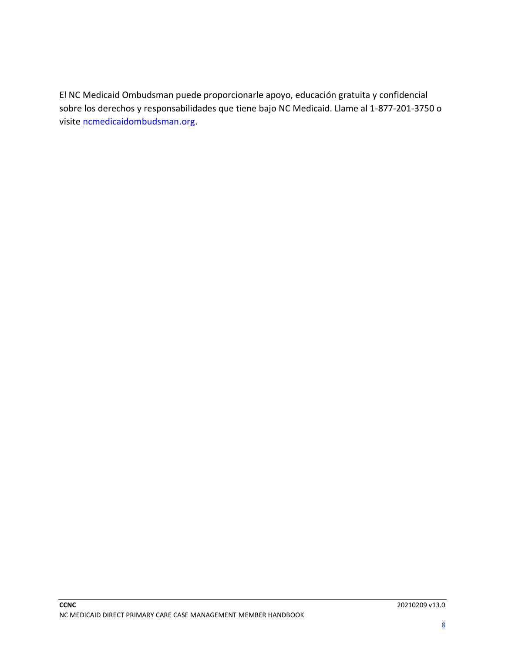El NC Medicaid Ombudsman puede proporcionarle apoyo, educación gratuita y confidencial sobre los derechos y responsabilidades que tiene bajo NC Medicaid. Llame al 1-877-201-3750 o visite [ncmedicaidombudsman.org.](https://ncmedicaidombudsman.org/)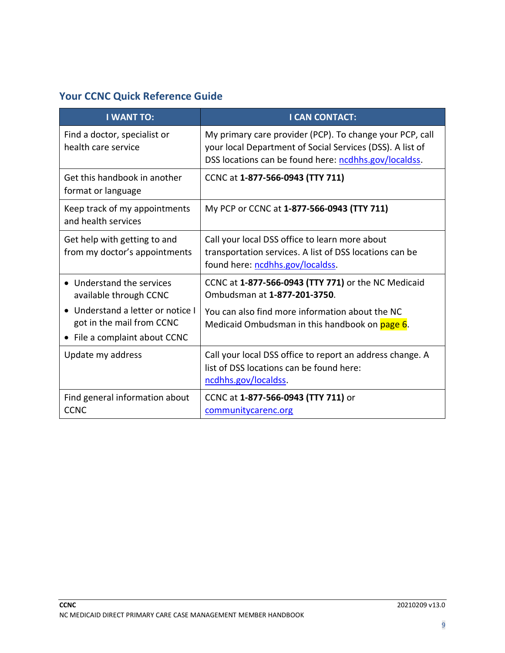# **Your CCNC Quick Reference Guide**

| <b>I WANT TO:</b>                                                                                        | <b>I CAN CONTACT:</b>                                                                                                                                                          |
|----------------------------------------------------------------------------------------------------------|--------------------------------------------------------------------------------------------------------------------------------------------------------------------------------|
| Find a doctor, specialist or<br>health care service                                                      | My primary care provider (PCP). To change your PCP, call<br>your local Department of Social Services (DSS). A list of<br>DSS locations can be found here: ncdhhs.gov/localdss. |
| Get this handbook in another<br>format or language                                                       | CCNC at 1-877-566-0943 (TTY 711)                                                                                                                                               |
| Keep track of my appointments<br>and health services                                                     | My PCP or CCNC at 1-877-566-0943 (TTY 711)                                                                                                                                     |
| Get help with getting to and<br>from my doctor's appointments                                            | Call your local DSS office to learn more about<br>transportation services. A list of DSS locations can be<br>found here: ncdhhs.gov/localdss.                                  |
| • Understand the services<br>available through CCNC                                                      | CCNC at 1-877-566-0943 (TTY 771) or the NC Medicaid<br>Ombudsman at 1-877-201-3750.                                                                                            |
| Understand a letter or notice I<br>$\bullet$<br>got in the mail from CCNC<br>File a complaint about CCNC | You can also find more information about the NC<br>Medicaid Ombudsman in this handbook on page 6.                                                                              |
| Update my address                                                                                        | Call your local DSS office to report an address change. A<br>list of DSS locations can be found here:<br>ncdhhs.gov/localdss.                                                  |
| Find general information about<br><b>CCNC</b>                                                            | CCNC at 1-877-566-0943 (TTY 711) or<br>communitycarenc.org                                                                                                                     |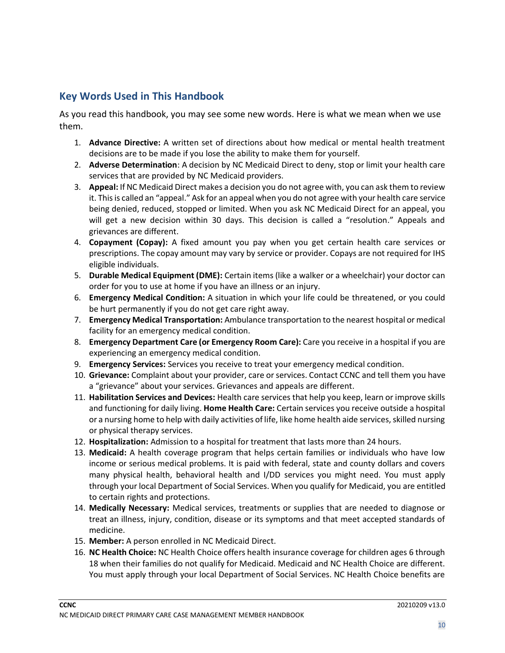# **Key Words Used in This Handbook**

As you read this handbook, you may see some new words. Here is what we mean when we use them.

- 1. **Advance Directive:** A written set of directions about how medical or mental health treatment decisions are to be made if you lose the ability to make them for yourself.
- 2. **Adverse Determination**: A decision by NC Medicaid Direct to deny, stop or limit your health care services that are provided by NC Medicaid providers.
- 3. **Appeal:** If NC Medicaid Direct makes a decision you do not agree with, you can ask them to review it. This is called an "appeal." Ask for an appeal when you do not agree with your health care service being denied, reduced, stopped or limited. When you ask NC Medicaid Direct for an appeal, you will get a new decision within 30 days. This decision is called a "resolution." Appeals and grievances are different.
- 4. **Copayment (Copay):** A fixed amount you pay when you get certain health care services or prescriptions. The copay amount may vary by service or provider. Copays are not required for IHS eligible individuals.
- 5. **Durable Medical Equipment (DME):** Certain items (like a walker or a wheelchair) your doctor can order for you to use at home if you have an illness or an injury.
- 6. **Emergency Medical Condition:** A situation in which your life could be threatened, or you could be hurt permanently if you do not get care right away.
- 7. **Emergency Medical Transportation:** Ambulance transportation to the nearest hospital or medical facility for an emergency medical condition.
- 8. **Emergency Department Care (or Emergency Room Care):** Care you receive in a hospital if you are experiencing an emergency medical condition.
- 9. **Emergency Services:** Services you receive to treat your emergency medical condition.
- 10. **Grievance:** Complaint about your provider, care or services. Contact CCNC and tell them you have a "grievance" about your services. Grievances and appeals are different.
- 11. **Habilitation Services and Devices:** Health care services that help you keep, learn or improve skills and functioning for daily living. **Home Health Care:** Certain services you receive outside a hospital or a nursing home to help with daily activities of life, like home health aide services, skilled nursing or physical therapy services.
- 12. **Hospitalization:** Admission to a hospital for treatment that lasts more than 24 hours.
- 13. **Medicaid:** A health coverage program that helps certain families or individuals who have low income or serious medical problems. It is paid with federal, state and county dollars and covers many physical health, behavioral health and I/DD services you might need. You must apply through your local Department of Social Services. When you qualify for Medicaid, you are entitled to certain rights and protections.
- 14. **Medically Necessary:** Medical services, treatments or supplies that are needed to diagnose or treat an illness, injury, condition, disease or its symptoms and that meet accepted standards of medicine.
- 15. **Member:** A person enrolled in NC Medicaid Direct.
- 16. **NC Health Choice:** NC Health Choice offers health insurance coverage for children ages 6 through 18 when their families do not qualify for Medicaid. Medicaid and NC Health Choice are different. You must apply through your local Department of Social Services. NC Health Choice benefits are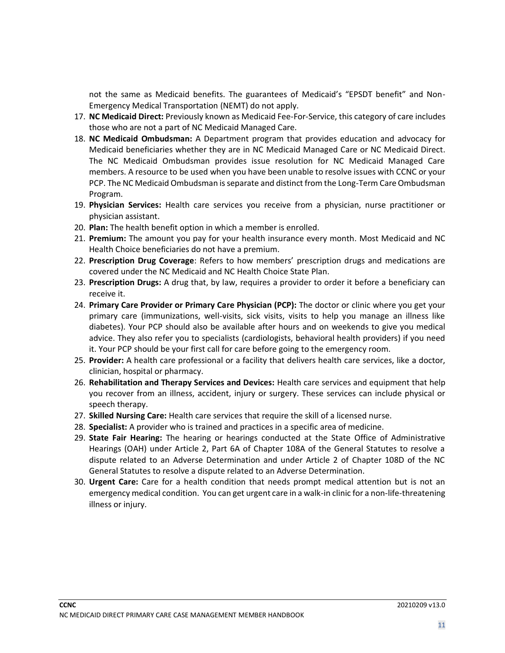not the same as Medicaid benefits. The guarantees of Medicaid's "EPSDT benefit" and Non-Emergency Medical Transportation (NEMT) do not apply.

- 17. **NC Medicaid Direct:** Previously known as Medicaid Fee-For-Service, this category of care includes those who are not a part of NC Medicaid Managed Care.
- 18. **NC Medicaid Ombudsman:** A Department program that provides education and advocacy for Medicaid beneficiaries whether they are in NC Medicaid Managed Care or NC Medicaid Direct. The NC Medicaid Ombudsman provides issue resolution for NC Medicaid Managed Care members. A resource to be used when you have been unable to resolve issues with CCNC or your PCP. The NC Medicaid Ombudsman is separate and distinct from the Long-Term Care Ombudsman Program.
- 19. **Physician Services:** Health care services you receive from a physician, nurse practitioner or physician assistant.
- 20. **Plan:** The health benefit option in which a member is enrolled.
- 21. **Premium:** The amount you pay for your health insurance every month. Most Medicaid and NC Health Choice beneficiaries do not have a premium.
- 22. **Prescription Drug Coverage**: Refers to how members' prescription drugs and medications are covered under the NC Medicaid and NC Health Choice State Plan.
- 23. **Prescription Drugs:** A drug that, by law, requires a provider to order it before a beneficiary can receive it.
- 24. **Primary Care Provider or Primary Care Physician (PCP):** The doctor or clinic where you get your primary care (immunizations, well-visits, sick visits, visits to help you manage an illness like diabetes). Your PCP should also be available after hours and on weekends to give you medical advice. They also refer you to specialists (cardiologists, behavioral health providers) if you need it. Your PCP should be your first call for care before going to the emergency room.
- 25. **Provider:** A health care professional or a facility that delivers health care services, like a doctor, clinician, hospital or pharmacy.
- 26. **Rehabilitation and Therapy Services and Devices:** Health care services and equipment that help you recover from an illness, accident, injury or surgery. These services can include physical or speech therapy.
- 27. **Skilled Nursing Care:** Health care services that require the skill of a licensed nurse.
- 28. **Specialist:** A provider who is trained and practices in a specific area of medicine.
- 29. **State Fair Hearing:** The hearing or hearings conducted at the State Office of Administrative Hearings (OAH) under Article 2, Part 6A of Chapter 108A of the General Statutes to resolve a dispute related to an Adverse Determination and under Article 2 of Chapter 108D of the NC General Statutes to resolve a dispute related to an Adverse Determination.
- 30. **Urgent Care:** Care for a health condition that needs prompt medical attention but is not an emergency medical condition. You can get urgent care in a walk-in clinic for a non-life-threatening illness or injury.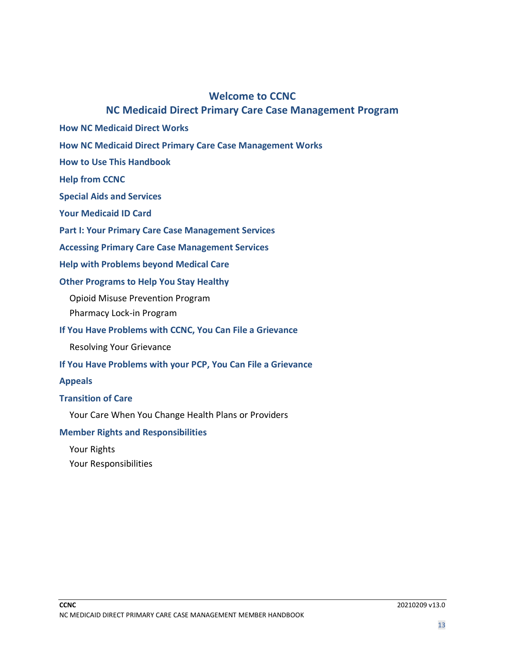### **Welcome to CCNC**

# **NC Medicaid Direct Primary Care Case Management Program**

- **How NC Medicaid Direct Works**
- **How NC Medicaid Direct Primary Care Case Management Works**
- **How to Use This Handbook**
- **Help from CCNC**
- **Special Aids and Services**
- **Your Medicaid ID Card**
- **Part I: Your Primary Care Case Management Services**
- **Accessing Primary Care Case Management Services**
- **Help with Problems beyond Medical Care**

#### **Other Programs to Help You Stay Healthy**

- Opioid Misuse Prevention Program
- Pharmacy Lock-in Program

#### **If You Have Problems with CCNC, You Can File a Grievance**

Resolving Your Grievance

#### **If You Have Problems with your PCP, You Can File a Grievance**

#### **Appeals**

#### **Transition of Care**

Your Care When You Change Health Plans or Providers

#### **Member Rights and Responsibilities**

Your Rights Your Responsibilities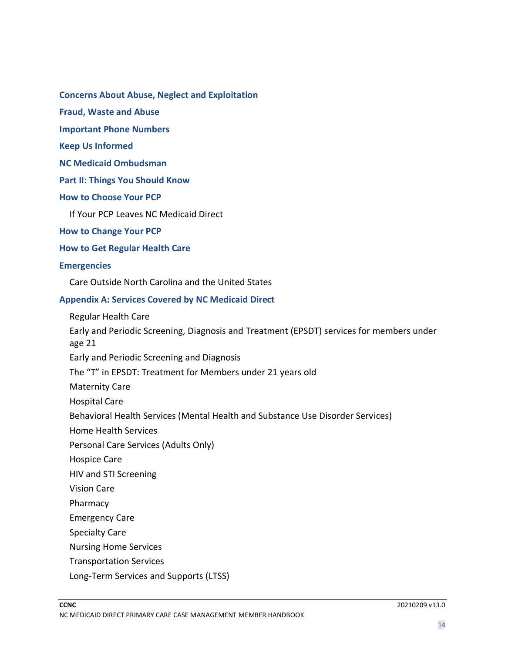**Concerns About Abuse, Neglect and Exploitation**

**Fraud, Waste and Abuse**

**Important Phone Numbers**

**Keep Us Informed**

**NC Medicaid Ombudsman**

**Part II: Things You Should Know**

**How to Choose Your PCP**

If Your PCP Leaves NC Medicaid Direct

**How to Change Your PCP**

**How to Get Regular Health Care**

#### **Emergencies**

Care Outside North Carolina and the United States

#### **Appendix A: Services Covered by NC Medicaid Direct**

Regular Health Care

Early and Periodic Screening, Diagnosis and Treatment (EPSDT) services for members under age 21

Early and Periodic Screening and Diagnosis

The "T" in EPSDT: Treatment for Members under 21 years old

Maternity Care

Hospital Care

Behavioral Health Services (Mental Health and Substance Use Disorder Services)

Home Health Services

Personal Care Services (Adults Only)

Hospice Care

HIV and STI Screening

Vision Care

Pharmacy

Emergency Care

Specialty Care

Nursing Home Services

Transportation Services

Long-Term Services and Supports (LTSS)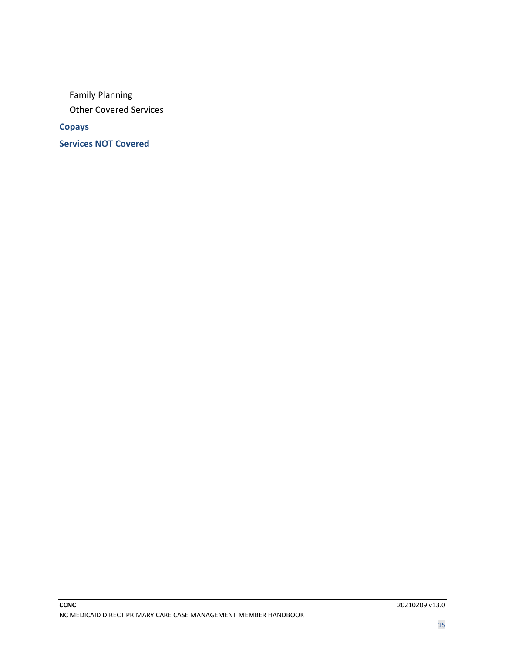Family Planning Other Covered Services

**Copays**

**Services NOT Covered**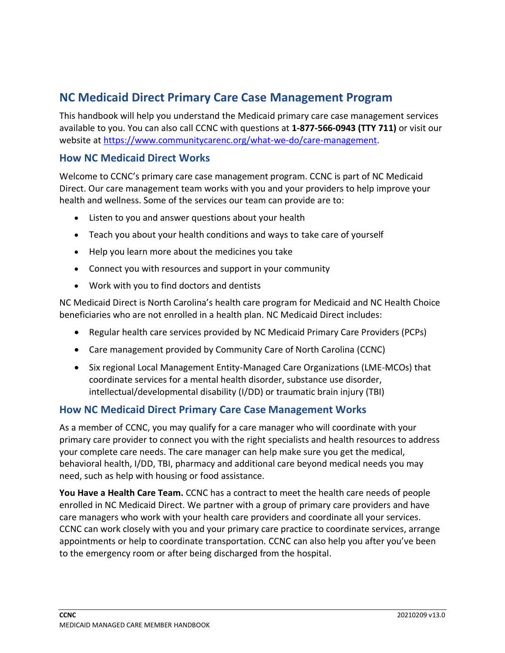# **NC Medicaid Direct Primary Care Case Management Program**

This handbook will help you understand the Medicaid primary care case management services available to you. You can also call CCNC with questions at **1-877-566-0943 (TTY 711)** or visit our website at [https://www.communitycarenc.org/what-we-do/care-management.](https://www.communitycarenc.org/what-we-do/care-management)

## **How NC Medicaid Direct Works**

Welcome to CCNC's primary care case management program. CCNC is part of NC Medicaid Direct. Our care management team works with you and your providers to help improve your health and wellness. Some of the services our team can provide are to:

- Listen to you and answer questions about your health
- Teach you about your health conditions and ways to take care of yourself
- Help you learn more about the medicines you take
- Connect you with resources and support in your community
- Work with you to find doctors and dentists

NC Medicaid Direct is North Carolina's health care program for Medicaid and NC Health Choice beneficiaries who are not enrolled in a health plan. NC Medicaid Direct includes:

- Regular health care services provided by NC Medicaid Primary Care Providers (PCPs)
- Care management provided by Community Care of North Carolina (CCNC)
- Six regional Local Management Entity-Managed Care Organizations (LME-MCOs) that coordinate services for a mental health disorder, substance use disorder, intellectual/developmental disability (I/DD) or traumatic brain injury (TBI)

#### **How NC Medicaid Direct Primary Care Case Management Works**

As a member of CCNC, you may qualify for a care manager who will coordinate with your primary care provider to connect you with the right specialists and health resources to address your complete care needs. The care manager can help make sure you get the medical, behavioral health, I/DD, TBI, pharmacy and additional care beyond medical needs you may need, such as help with housing or food assistance.

**You Have a Health Care Team.** CCNC has a contract to meet the health care needs of people enrolled in NC Medicaid Direct. We partner with a group of primary care providers and have care managers who work with your health care providers and coordinate all your services. CCNC can work closely with you and your primary care practice to coordinate services, arrange appointments or help to coordinate transportation. CCNC can also help you after you've been to the emergency room or after being discharged from the hospital.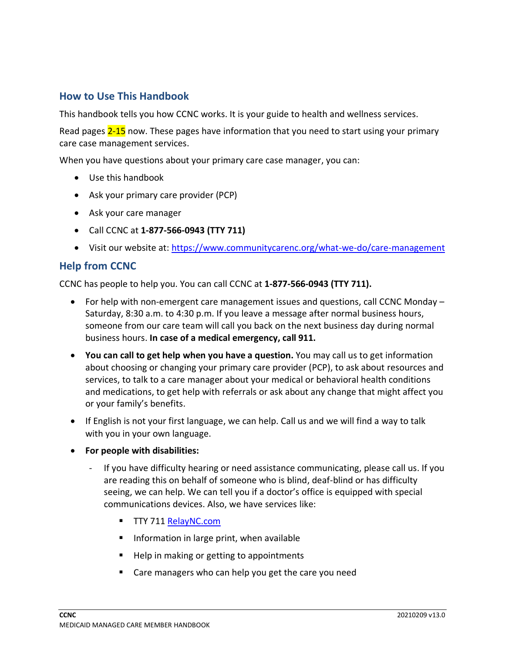# **How to Use This Handbook**

This handbook tells you how CCNC works. It is your guide to health and wellness services.

Read pages 2-15 now. These pages have information that you need to start using your primary care case management services.

When you have questions about your primary care case manager, you can:

- Use this handbook
- Ask your primary care provider (PCP)
- Ask your care manager
- Call CCNC at **1-877-566-0943 (TTY 711)**
- Visit our website at:<https://www.communitycarenc.org/what-we-do/care-management>

#### **Help from CCNC**

CCNC has people to help you. You can call CCNC at **1-877-566-0943 (TTY 711).**

- For help with non-emergent care management issues and questions, call CCNC Monday Saturday, 8:30 a.m. to 4:30 p.m. If you leave a message after normal business hours, someone from our care team will call you back on the next business day during normal business hours. **In case of a medical emergency, call 911.**
- **You can call to get help when you have a question.** You may call us to get information about choosing or changing your primary care provider (PCP), to ask about resources and services, to talk to a care manager about your medical or behavioral health conditions and medications, to get help with referrals or ask about any change that might affect you or your family's benefits.
- If English is not your first language, we can help. Call us and we will find a way to talk with you in your own language.
- **For people with disabilities:** 
	- If you have difficulty hearing or need assistance communicating, please call us. If you are reading this on behalf of someone who is blind, deaf-blind or has difficulty seeing, we can help. We can tell you if a doctor's office is equipped with special communications devices. Also, we have services like:
		- TTY 711 [RelayNC.com](https://www.relaync.com/)
		- Information in large print, when available
		- Help in making or getting to appointments
		- Care managers who can help you get the care you need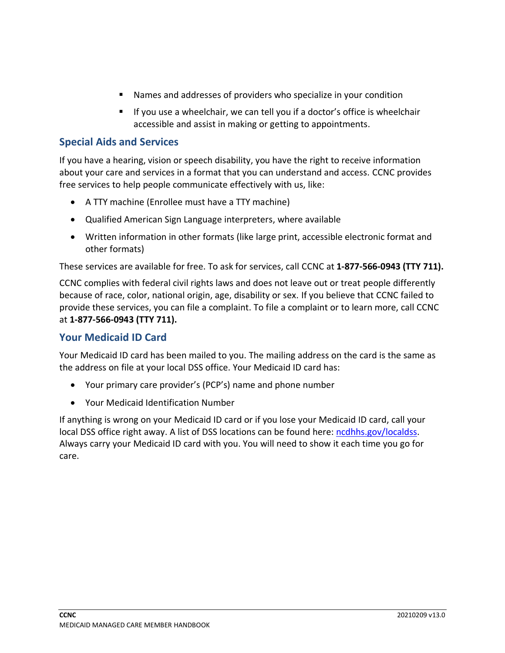- Names and addresses of providers who specialize in your condition
- If you use a wheelchair, we can tell you if a doctor's office is wheelchair accessible and assist in making or getting to appointments.

# **Special Aids and Services**

If you have a hearing, vision or speech disability, you have the right to receive information about your care and services in a format that you can understand and access. CCNC provides free services to help people communicate effectively with us, like:

- A TTY machine (Enrollee must have a TTY machine)
- Qualified American Sign Language interpreters, where available
- Written information in other formats (like large print, accessible electronic format and other formats)

These services are available for free. To ask for services, call CCNC at **1-877-566-0943 (TTY 711).**

CCNC complies with federal civil rights laws and does not leave out or treat people differently because of race, color, national origin, age, disability or sex. If you believe that CCNC failed to provide these services, you can file a complaint. To file a complaint or to learn more, call CCNC at **1-877-566-0943 (TTY 711).**

# **Your Medicaid ID Card**

Your Medicaid ID card has been mailed to you. The mailing address on the card is the same as the address on file at your local DSS office. Your Medicaid ID card has:

- Your primary care provider's (PCP's) name and phone number
- Your Medicaid Identification Number

If anything is wrong on your Medicaid ID card or if you lose your Medicaid ID card, call your local DSS office right away. A list of DSS locations can be found here: [ncdhhs.gov/localdss.](https://www.ncdhhs.gov/divisions/social-services/local-dss-directory) Always carry your Medicaid ID card with you. You will need to show it each time you go for care.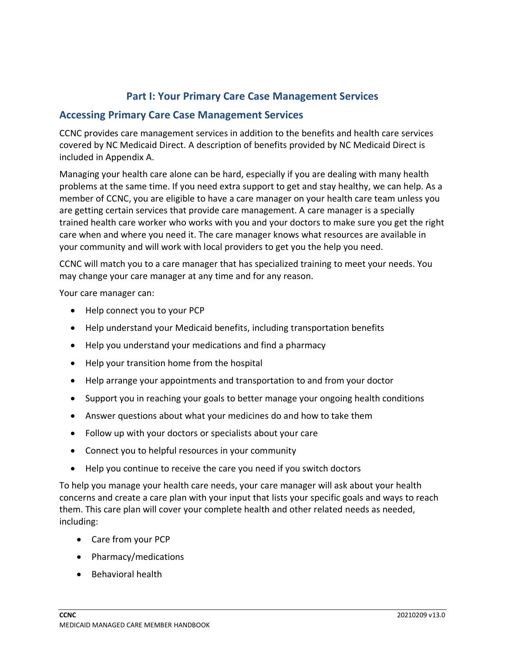# **Part I: Your Primary Care Case Management Services**

## **Accessing Primary Care Case Management Services**

CCNC provides care management services in addition to the benefits and health care services covered by NC Medicaid Direct. A description of benefits provided by NC Medicaid Direct is included in Appendix A.

Managing your health care alone can be hard, especially if you are dealing with many health problems at the same time. If you need extra support to get and stay healthy, we can help. As a member of CCNC, you are eligible to have a care manager on your health care team unless you are getting certain services that provide care management. A care manager is a specially trained health care worker who works with you and your doctors to make sure you get the right care when and where you need it. The care manager knows what resources are available in your community and will work with local providers to get you the help you need.

CCNC will match you to a care manager that has specialized training to meet your needs. You may change your care manager at any time and for any reason.

Your care manager can:

- Help connect you to your PCP
- Help understand your Medicaid benefits, including transportation benefits
- Help you understand your medications and find a pharmacy
- Help your transition home from the hospital
- Help arrange your appointments and transportation to and from your doctor
- Support you in reaching your goals to better manage your ongoing health conditions
- Answer questions about what your medicines do and how to take them
- Follow up with your doctors or specialists about your care
- Connect you to helpful resources in your community
- Help you continue to receive the care you need if you switch doctors

To help you manage your health care needs, your care manager will ask about your health concerns and create a care plan with your input that lists your specific goals and ways to reach them. This care plan will cover your complete health and other related needs as needed, including:

- Care from your PCP
- Pharmacy/medications
- Behavioral health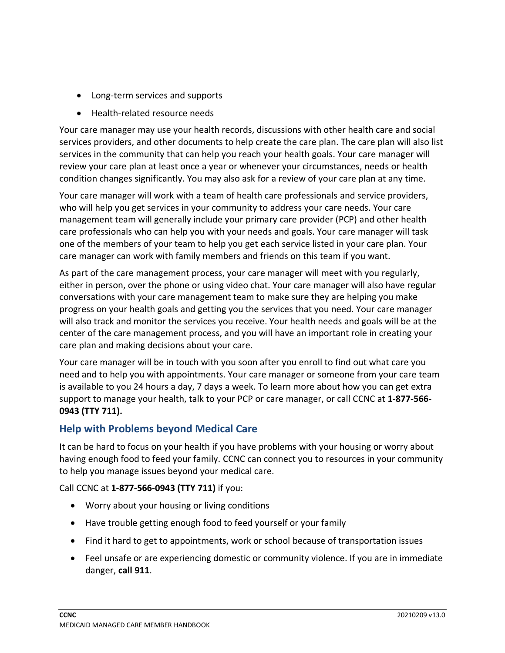- Long-term services and supports
- Health-related resource needs

Your care manager may use your health records, discussions with other health care and social services providers, and other documents to help create the care plan. The care plan will also list services in the community that can help you reach your health goals. Your care manager will review your care plan at least once a year or whenever your circumstances, needs or health condition changes significantly. You may also ask for a review of your care plan at any time.

Your care manager will work with a team of health care professionals and service providers, who will help you get services in your community to address your care needs. Your care management team will generally include your primary care provider (PCP) and other health care professionals who can help you with your needs and goals. Your care manager will task one of the members of your team to help you get each service listed in your care plan. Your care manager can work with family members and friends on this team if you want.

As part of the care management process, your care manager will meet with you regularly, either in person, over the phone or using video chat. Your care manager will also have regular conversations with your care management team to make sure they are helping you make progress on your health goals and getting you the services that you need. Your care manager will also track and monitor the services you receive. Your health needs and goals will be at the center of the care management process, and you will have an important role in creating your care plan and making decisions about your care.

Your care manager will be in touch with you soon after you enroll to find out what care you need and to help you with appointments. Your care manager or someone from your care team is available to you 24 hours a day, 7 days a week. To learn more about how you can get extra support to manage your health, talk to your PCP or care manager, or call CCNC at **1-877-566- 0943 (TTY 711).**

# **Help with Problems beyond Medical Care**

It can be hard to focus on your health if you have problems with your housing or worry about having enough food to feed your family. CCNC can connect you to resources in your community to help you manage issues beyond your medical care.

Call CCNC at **1-877-566-0943 (TTY 711)** if you:

- Worry about your housing or living conditions
- Have trouble getting enough food to feed yourself or your family
- Find it hard to get to appointments, work or school because of transportation issues
- Feel unsafe or are experiencing domestic or community violence. If you are in immediate danger, **call 911**.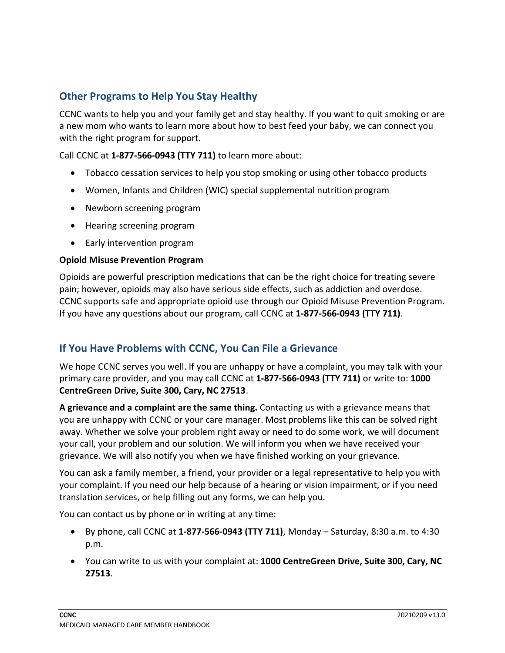# **Other Programs to Help You Stay Healthy**

CCNC wants to help you and your family get and stay healthy. If you want to quit smoking or are a new mom who wants to learn more about how to best feed your baby, we can connect you with the right program for support.

Call CCNC at **1-877-566-0943 (TTY 711)** to learn more about:

- Tobacco cessation services to help you stop smoking or using other tobacco products
- Women, Infants and Children (WIC) special supplemental nutrition program
- Newborn screening program
- Hearing screening program
- Early intervention program

#### **Opioid Misuse Prevention Program**

Opioids are powerful prescription medications that can be the right choice for treating severe pain; however, opioids may also have serious side effects, such as addiction and overdose. CCNC supports safe and appropriate opioid use through our Opioid Misuse Prevention Program. If you have any questions about our program, call CCNC at **1-877-566-0943 (TTY 711)**.

# **If You Have Problems with CCNC, You Can File a Grievance**

We hope CCNC serves you well. If you are unhappy or have a complaint, you may talk with your primary care provider, and you may call CCNC at **1-877-566-0943 (TTY 711)** or write to: **1000 CentreGreen Drive, Suite 300, Cary, NC 27513**.

**A grievance and a complaint are the same thing.** Contacting us with a grievance means that you are unhappy with CCNC or your care manager. Most problems like this can be solved right away. Whether we solve your problem right away or need to do some work, we will document your call, your problem and our solution. We will inform you when we have received your grievance. We will also notify you when we have finished working on your grievance.

You can ask a family member, a friend, your provider or a legal representative to help you with your complaint. If you need our help because of a hearing or vision impairment, or if you need translation services, or help filling out any forms, we can help you.

You can contact us by phone or in writing at any time:

- By phone, call CCNC at **1-877-566-0943 (TTY 711)**, Monday Saturday, 8:30 a.m. to 4:30 p.m.
- You can write to us with your complaint at: **1000 CentreGreen Drive, Suite 300, Cary, NC 27513**.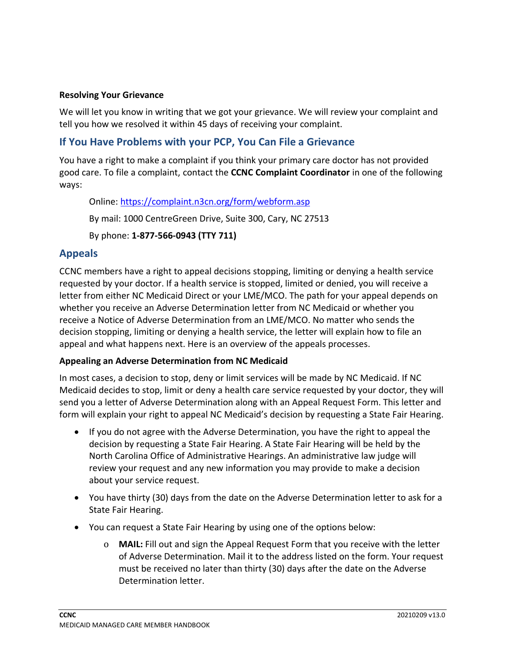#### **Resolving Your Grievance**

We will let you know in writing that we got your grievance. We will review your complaint and tell you how we resolved it within 45 days of receiving your complaint.

# **If You Have Problems with your PCP, You Can File a Grievance**

You have a right to make a complaint if you think your primary care doctor has not provided good care. To file a complaint, contact the **CCNC Complaint Coordinator** in one of the following ways:

Online:<https://complaint.n3cn.org/form/webform.asp>

By mail: 1000 CentreGreen Drive, Suite 300, Cary, NC 27513

By phone: **1-877-566-0943 (TTY 711)**

# **Appeals**

CCNC members have a right to appeal decisions stopping, limiting or denying a health service requested by your doctor. If a health service is stopped, limited or denied, you will receive a letter from either NC Medicaid Direct or your LME/MCO. The path for your appeal depends on whether you receive an Adverse Determination letter from NC Medicaid or whether you receive a Notice of Adverse Determination from an LME/MCO. No matter who sends the decision stopping, limiting or denying a health service, the letter will explain how to file an appeal and what happens next. Here is an overview of the appeals processes.

#### **Appealing an Adverse Determination from NC Medicaid**

In most cases, a decision to stop, deny or limit services will be made by NC Medicaid. If NC Medicaid decides to stop, limit or deny a health care service requested by your doctor, they will send you a letter of Adverse Determination along with an Appeal Request Form. This letter and form will explain your right to appeal NC Medicaid's decision by requesting a State Fair Hearing.

- If you do not agree with the Adverse Determination, you have the right to appeal the decision by requesting a State Fair Hearing. A State Fair Hearing will be held by the North Carolina Office of Administrative Hearings. An administrative law judge will review your request and any new information you may provide to make a decision about your service request.
- You have thirty (30) days from the date on the Adverse Determination letter to ask for a State Fair Hearing.
- You can request a State Fair Hearing by using one of the options below:
	- o **MAIL:** Fill out and sign the Appeal Request Form that you receive with the letter of Adverse Determination. Mail it to the address listed on the form. Your request must be received no later than thirty (30) days after the date on the Adverse Determination letter.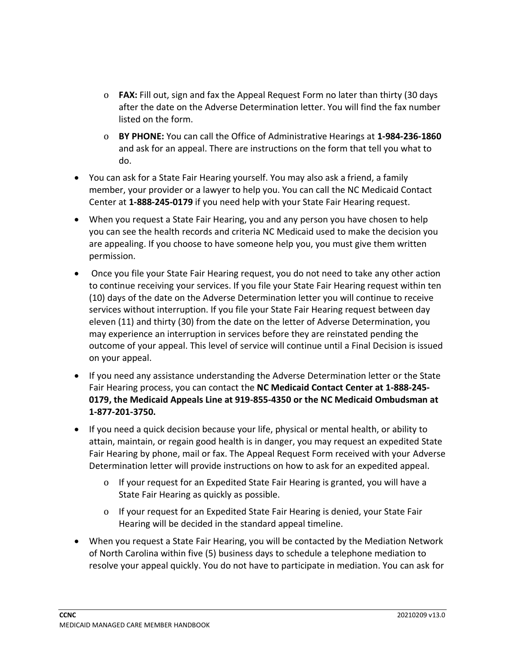- o **FAX:** Fill out, sign and fax the Appeal Request Form no later than thirty (30 days after the date on the Adverse Determination letter. You will find the fax number listed on the form.
- o **BY PHONE:** You can call the Office of Administrative Hearings at **1-984-236-1860**  and ask for an appeal. There are instructions on the form that tell you what to do.
- You can ask for a State Fair Hearing yourself. You may also ask a friend, a family member, your provider or a lawyer to help you. You can call the NC Medicaid Contact Center at **1-888-245-0179** if you need help with your State Fair Hearing request.
- When you request a State Fair Hearing, you and any person you have chosen to help you can see the health records and criteria NC Medicaid used to make the decision you are appealing. If you choose to have someone help you, you must give them written permission.
- Once you file your State Fair Hearing request, you do not need to take any other action to continue receiving your services. If you file your State Fair Hearing request within ten (10) days of the date on the Adverse Determination letter you will continue to receive services without interruption. If you file your State Fair Hearing request between day eleven (11) and thirty (30) from the date on the letter of Adverse Determination, you may experience an interruption in services before they are reinstated pending the outcome of your appeal. This level of service will continue until a Final Decision is issued on your appeal.
- If you need any assistance understanding the Adverse Determination letter or the State Fair Hearing process, you can contact the **NC Medicaid Contact Center at 1-888-245- 0179, the Medicaid Appeals Line at 919-855-4350 or the NC Medicaid Ombudsman at 1-877-201-3750.**
- If you need a quick decision because your life, physical or mental health, or ability to attain, maintain, or regain good health is in danger, you may request an expedited State Fair Hearing by phone, mail or fax. The Appeal Request Form received with your Adverse Determination letter will provide instructions on how to ask for an expedited appeal.
	- o If your request for an Expedited State Fair Hearing is granted, you will have a State Fair Hearing as quickly as possible.
	- o If your request for an Expedited State Fair Hearing is denied, your State Fair Hearing will be decided in the standard appeal timeline.
- When you request a State Fair Hearing, you will be contacted by the Mediation Network of North Carolina within five (5) business days to schedule a telephone mediation to resolve your appeal quickly. You do not have to participate in mediation. You can ask for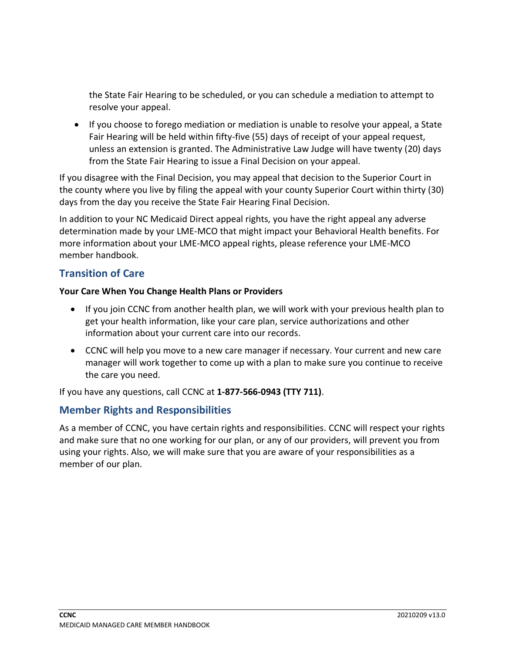the State Fair Hearing to be scheduled, or you can schedule a mediation to attempt to resolve your appeal.

• If you choose to forego mediation or mediation is unable to resolve your appeal, a State Fair Hearing will be held within fifty-five (55) days of receipt of your appeal request, unless an extension is granted. The Administrative Law Judge will have twenty (20) days from the State Fair Hearing to issue a Final Decision on your appeal.

If you disagree with the Final Decision, you may appeal that decision to the Superior Court in the county where you live by filing the appeal with your county Superior Court within thirty (30) days from the day you receive the State Fair Hearing Final Decision.

In addition to your NC Medicaid Direct appeal rights, you have the right appeal any adverse determination made by your LME-MCO that might impact your Behavioral Health benefits. For more information about your LME-MCO appeal rights, please reference your LME-MCO member handbook.

# **Transition of Care**

#### **Your Care When You Change Health Plans or Providers**

- If you join CCNC from another health plan, we will work with your previous health plan to get your health information, like your care plan, service authorizations and other information about your current care into our records.
- CCNC will help you move to a new care manager if necessary. Your current and new care manager will work together to come up with a plan to make sure you continue to receive the care you need.

If you have any questions, call CCNC at **1-877-566-0943 (TTY 711)**.

# **Member Rights and Responsibilities**

As a member of CCNC, you have certain rights and responsibilities. CCNC will respect your rights and make sure that no one working for our plan, or any of our providers, will prevent you from using your rights. Also, we will make sure that you are aware of your responsibilities as a member of our plan.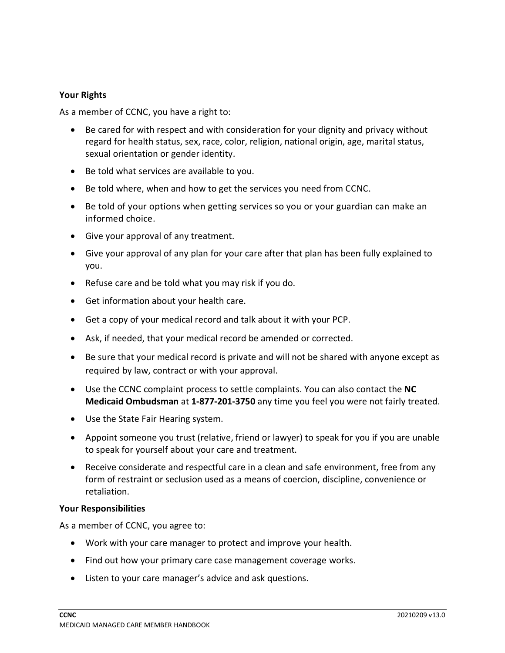#### **Your Rights**

As a member of CCNC, you have a right to:

- Be cared for with respect and with consideration for your dignity and privacy without regard for health status, sex, race, color, religion, national origin, age, marital status, sexual orientation or gender identity.
- Be told what services are available to you.
- Be told where, when and how to get the services you need from CCNC.
- Be told of your options when getting services so you or your guardian can make an informed choice.
- Give your approval of any treatment.
- Give your approval of any plan for your care after that plan has been fully explained to you.
- Refuse care and be told what you may risk if you do.
- Get information about your health care.
- Get a copy of your medical record and talk about it with your PCP.
- Ask, if needed, that your medical record be amended or corrected.
- Be sure that your medical record is private and will not be shared with anyone except as required by law, contract or with your approval.
- Use the CCNC complaint process to settle complaints. You can also contact the **NC Medicaid Ombudsman** at **1-877-201-3750** any time you feel you were not fairly treated.
- Use the State Fair Hearing system.
- Appoint someone you trust (relative, friend or lawyer) to speak for you if you are unable to speak for yourself about your care and treatment.
- Receive considerate and respectful care in a clean and safe environment, free from any form of restraint or seclusion used as a means of coercion, discipline, convenience or retaliation.

#### **Your Responsibilities**

As a member of CCNC, you agree to:

- Work with your care manager to protect and improve your health.
- Find out how your primary care case management coverage works.
- Listen to your care manager's advice and ask questions.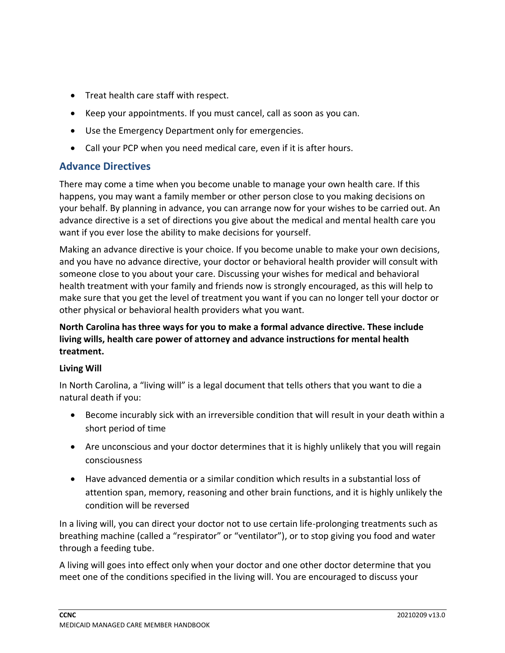- Treat health care staff with respect.
- Keep your appointments. If you must cancel, call as soon as you can.
- Use the Emergency Department only for emergencies.
- Call your PCP when you need medical care, even if it is after hours.

# **Advance Directives**

There may come a time when you become unable to manage your own health care. If this happens, you may want a family member or other person close to you making decisions on your behalf. By planning in advance, you can arrange now for your wishes to be carried out. An advance directive is a set of directions you give about the medical and mental health care you want if you ever lose the ability to make decisions for yourself.

Making an advance directive is your choice. If you become unable to make your own decisions, and you have no advance directive, your doctor or behavioral health provider will consult with someone close to you about your care. Discussing your wishes for medical and behavioral health treatment with your family and friends now is strongly encouraged, as this will help to make sure that you get the level of treatment you want if you can no longer tell your doctor or other physical or behavioral health providers what you want.

## **North Carolina has three ways for you to make a formal advance directive. These include living wills, health care power of attorney and advance instructions for mental health treatment.**

#### **Living Will**

In North Carolina, a "living will" is a legal document that tells others that you want to die a natural death if you:

- Become incurably sick with an irreversible condition that will result in your death within a short period of time
- Are unconscious and your doctor determines that it is highly unlikely that you will regain consciousness
- Have advanced dementia or a similar condition which results in a substantial loss of attention span, memory, reasoning and other brain functions, and it is highly unlikely the condition will be reversed

In a living will, you can direct your doctor not to use certain life-prolonging treatments such as breathing machine (called a "respirator" or "ventilator"), or to stop giving you food and water through a feeding tube.

A living will goes into effect only when your doctor and one other doctor determine that you meet one of the conditions specified in the living will. You are encouraged to discuss your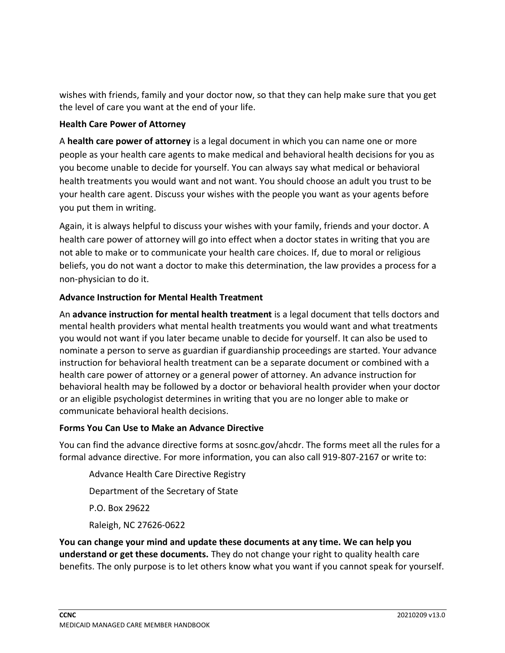wishes with friends, family and your doctor now, so that they can help make sure that you get the level of care you want at the end of your life.

### **Health Care Power of Attorney**

A **health care power of attorney** is a legal document in which you can name one or more people as your health care agents to make medical and behavioral health decisions for you as you become unable to decide for yourself. You can always say what medical or behavioral health treatments you would want and not want. You should choose an adult you trust to be your health care agent. Discuss your wishes with the people you want as your agents before you put them in writing.

Again, it is always helpful to discuss your wishes with your family, friends and your doctor. A health care power of attorney will go into effect when a doctor states in writing that you are not able to make or to communicate your health care choices. If, due to moral or religious beliefs, you do not want a doctor to make this determination, the law provides a process for a non-physician to do it.

## **Advance Instruction for Mental Health Treatment**

An **advance instruction for mental health treatment** is a legal document that tells doctors and mental health providers what mental health treatments you would want and what treatments you would not want if you later became unable to decide for yourself. It can also be used to nominate a person to serve as guardian if guardianship proceedings are started. Your advance instruction for behavioral health treatment can be a separate document or combined with a health care power of attorney or a general power of attorney. An advance instruction for behavioral health may be followed by a doctor or behavioral health provider when your doctor or an eligible psychologist determines in writing that you are no longer able to make or communicate behavioral health decisions.

#### **Forms You Can Use to Make an Advance Directive**

You can find the advance directive forms at sosnc.gov/ahcdr. The forms meet all the rules for a formal advance directive. For more information, you can also call 919-807-2167 or write to:

Advance Health Care Directive Registry Department of the Secretary of State P.O. Box 29622 Raleigh, NC 27626-0622

**You can change your mind and update these documents at any time. We can help you understand or get these documents.** They do not change your right to quality health care benefits. The only purpose is to let others know what you want if you cannot speak for yourself.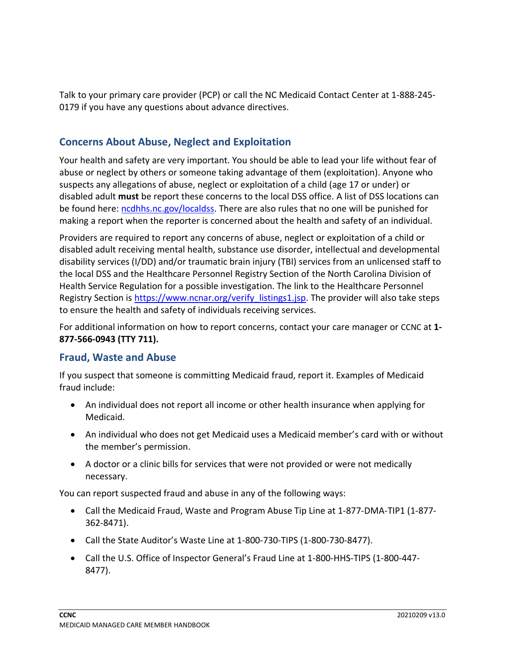Talk to your primary care provider (PCP) or call the NC Medicaid Contact Center at 1-888-245- 0179 if you have any questions about advance directives.

# **Concerns About Abuse, Neglect and Exploitation**

Your health and safety are very important. You should be able to lead your life without fear of abuse or neglect by others or someone taking advantage of them (exploitation). Anyone who suspects any allegations of abuse, neglect or exploitation of a child (age 17 or under) or disabled adult **must** be report these concerns to the local DSS office. A list of DSS locations can be found here: [ncdhhs.nc.gov/localdss.](https://www.ncdhhs.gov/divisions/social-services/local-dss-directory) There are also rules that no one will be punished for making a report when the reporter is concerned about the health and safety of an individual.

Providers are required to report any concerns of abuse, neglect or exploitation of a child or disabled adult receiving mental health, substance use disorder, intellectual and developmental disability services (I/DD) and/or traumatic brain injury (TBI) services from an unlicensed staff to the local DSS and the Healthcare Personnel Registry Section of the North Carolina Division of Health Service Regulation for a possible investigation. The link to the Healthcare Personnel Registry Section is https://www.ncnar.org/verify listings1.jsp. The provider will also take steps to ensure the health and safety of individuals receiving services.

For additional information on how to report concerns, contact your care manager or CCNC at **1- 877-566-0943 (TTY 711).**

# **Fraud, Waste and Abuse**

If you suspect that someone is committing Medicaid fraud, report it. Examples of Medicaid fraud include:

- An individual does not report all income or other health insurance when applying for Medicaid.
- An individual who does not get Medicaid uses a Medicaid member's card with or without the member's permission.
- A doctor or a clinic bills for services that were not provided or were not medically necessary.

You can report suspected fraud and abuse in any of the following ways:

- Call the Medicaid Fraud, Waste and Program Abuse Tip Line at 1-877-DMA-TIP1 (1-877- 362-8471).
- Call the State Auditor's Waste Line at 1-800-730-TIPS (1-800-730-8477).
- Call the U.S. Office of Inspector General's Fraud Line at 1-800-HHS-TIPS (1-800-447- 8477).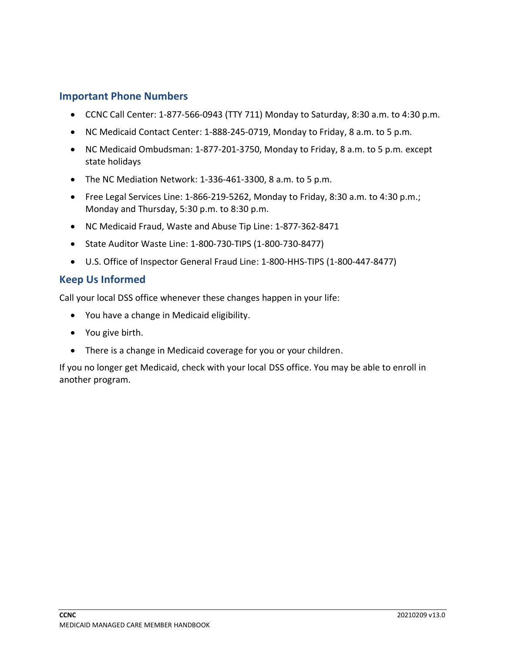## **Important Phone Numbers**

- CCNC Call Center: 1-877-566-0943 (TTY 711) Monday to Saturday, 8:30 a.m. to 4:30 p.m.
- NC Medicaid Contact Center: 1-888-245-0719, Monday to Friday, 8 a.m. to 5 p.m.
- NC Medicaid Ombudsman: 1-877-201-3750, Monday to Friday, 8 a.m. to 5 p.m. except state holidays
- The NC Mediation Network: 1-336-461-3300, 8 a.m. to 5 p.m.
- Free Legal Services Line: 1-866-219-5262, Monday to Friday, 8:30 a.m. to 4:30 p.m.; Monday and Thursday, 5:30 p.m. to 8:30 p.m.
- NC Medicaid Fraud, Waste and Abuse Tip Line: 1-877-362-8471
- State Auditor Waste Line: 1-800-730-TIPS (1-800-730-8477)
- U.S. Office of Inspector General Fraud Line: 1-800-HHS-TIPS (1-800-447-8477)

## **Keep Us Informed**

Call your local DSS office whenever these changes happen in your life:

- You have a change in Medicaid eligibility.
- You give birth.
- There is a change in Medicaid coverage for you or your children.

If you no longer get Medicaid, check with your local DSS office. You may be able to enroll in another program.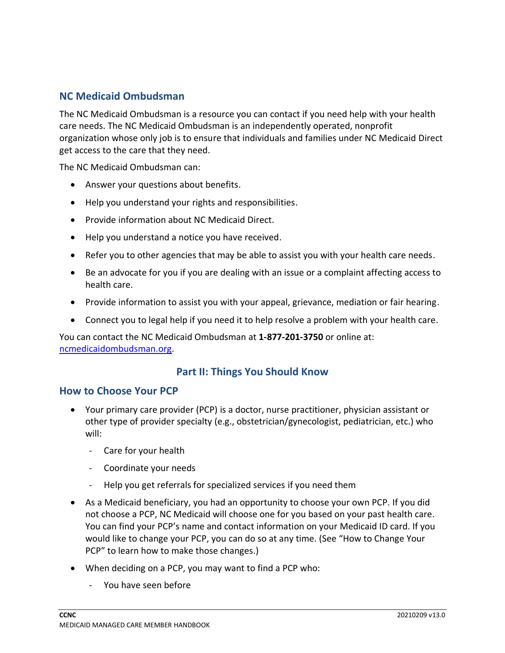# **NC Medicaid Ombudsman**

The NC Medicaid Ombudsman is a resource you can contact if you need help with your health care needs. The NC Medicaid Ombudsman is an independently operated, nonprofit organization whose only job is to ensure that individuals and families under NC Medicaid Direct get access to the care that they need.

The NC Medicaid Ombudsman can:

- Answer your questions about benefits.
- Help you understand your rights and responsibilities.
- Provide information about NC Medicaid Direct.
- Help you understand a notice you have received.
- Refer you to other agencies that may be able to assist you with your health care needs.
- Be an advocate for you if you are dealing with an issue or a complaint affecting access to health care.
- Provide information to assist you with your appeal, grievance, mediation or fair hearing.
- Connect you to legal help if you need it to help resolve a problem with your health care.

You can contact the NC Medicaid Ombudsman at **1-877-201-3750** or online at: [ncmedicaidombudsman.org.](https://ncmedicaidombudsman.org/)

# **Part II: Things You Should Know**

#### **How to Choose Your PCP**

- Your primary care provider (PCP) is a doctor, nurse practitioner, physician assistant or other type of provider specialty (e.g., obstetrician/gynecologist, pediatrician, etc.) who will:
	- Care for your health
	- Coordinate your needs
	- Help you get referrals for specialized services if you need them
- As a Medicaid beneficiary, you had an opportunity to choose your own PCP. If you did not choose a PCP, NC Medicaid will choose one for you based on your past health care. You can find your PCP's name and contact information on your Medicaid ID card. If you would like to change your PCP, you can do so at any time. (See "How to Change Your PCP" to learn how to make those changes.)
- When deciding on a PCP, you may want to find a PCP who:
	- You have seen before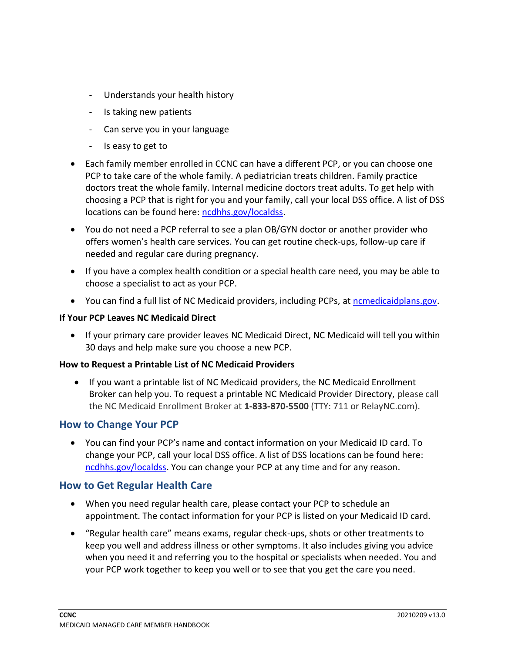- Understands your health history
- Is taking new patients
- Can serve you in your language
- Is easy to get to
- Each family member enrolled in CCNC can have a different PCP, or you can choose one PCP to take care of the whole family. A pediatrician treats children. Family practice doctors treat the whole family. Internal medicine doctors treat adults. To get help with choosing a PCP that is right for you and your family, call your local DSS office. A list of DSS locations can be found here: [ncdhhs.gov/localdss.](https://www.ncdhhs.gov/divisions/social-services/local-dss-directory)
- You do not need a PCP referral to see a plan OB/GYN doctor or another provider who offers women's health care services. You can get routine check-ups, follow-up care if needed and regular care during pregnancy.
- If you have a complex health condition or a special health care need, you may be able to choose a specialist to act as your PCP.
- You can find a full list of NC Medicaid providers, including PCPs, a[t ncmedicaidplans.gov.](https://ncmedicaidplans.gov/)

#### **If Your PCP Leaves NC Medicaid Direct**

• If your primary care provider leaves NC Medicaid Direct, NC Medicaid will tell you within 30 days and help make sure you choose a new PCP.

#### **How to Request a Printable List of NC Medicaid Providers**

• If you want a printable list of NC Medicaid providers, the NC Medicaid Enrollment Broker can help you. To request a printable NC Medicaid Provider Directory, please call the NC Medicaid Enrollment Broker at **1-833-870-5500** (TTY: 711 or RelayNC.com).

# **How to Change Your PCP**

• You can find your PCP's name and contact information on your Medicaid ID card. To change your PCP, call your local DSS office. A list of DSS locations can be found here: [ncdhhs.gov/localdss.](https://www.ncdhhs.gov/divisions/social-services/local-dss-directory) You can change your PCP at any time and for any reason.

# **How to Get Regular Health Care**

- When you need regular health care, please contact your PCP to schedule an appointment. The contact information for your PCP is listed on your Medicaid ID card.
- "Regular health care" means exams, regular check-ups, shots or other treatments to keep you well and address illness or other symptoms. It also includes giving you advice when you need it and referring you to the hospital or specialists when needed. You and your PCP work together to keep you well or to see that you get the care you need.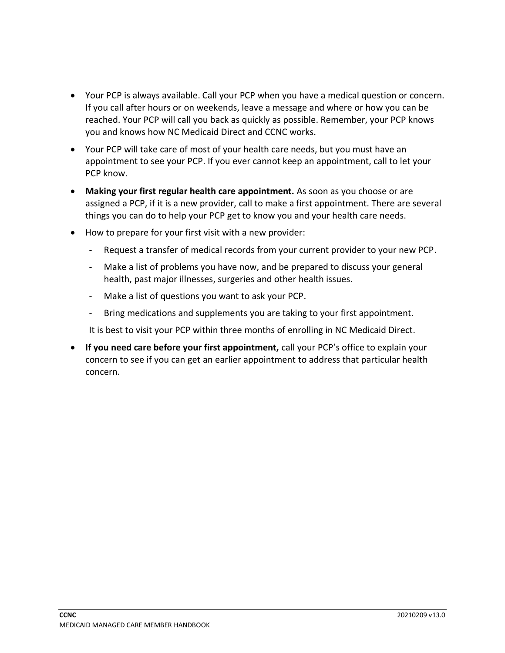- Your PCP is always available. Call your PCP when you have a medical question or concern. If you call after hours or on weekends, leave a message and where or how you can be reached. Your PCP will call you back as quickly as possible. Remember, your PCP knows you and knows how NC Medicaid Direct and CCNC works.
- Your PCP will take care of most of your health care needs, but you must have an appointment to see your PCP. If you ever cannot keep an appointment, call to let your PCP know.
- **Making your first regular health care appointment.** As soon as you choose or are assigned a PCP, if it is a new provider, call to make a first appointment. There are several things you can do to help your PCP get to know you and your health care needs.
- How to prepare for your first visit with a new provider:
	- Request a transfer of medical records from your current provider to your new PCP.
	- Make a list of problems you have now, and be prepared to discuss your general health, past major illnesses, surgeries and other health issues.
	- Make a list of questions you want to ask your PCP.
	- Bring medications and supplements you are taking to your first appointment.

It is best to visit your PCP within three months of enrolling in NC Medicaid Direct.

• **If you need care before your first appointment,** call your PCP's office to explain your concern to see if you can get an earlier appointment to address that particular health concern.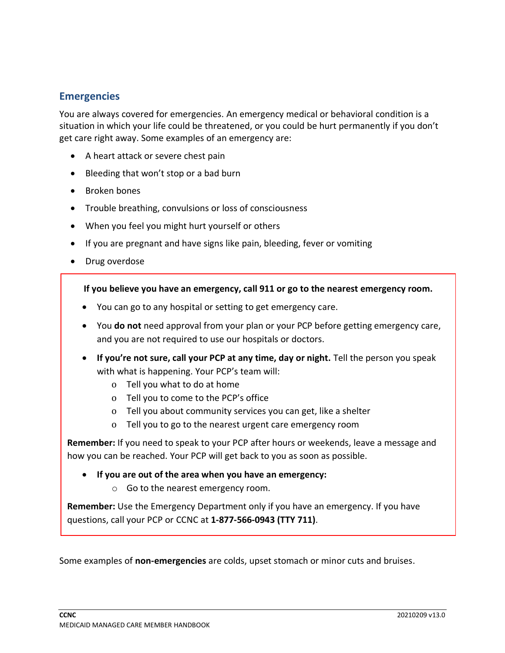# **Emergencies**

You are always covered for emergencies. An emergency medical or behavioral condition is a situation in which your life could be threatened, or you could be hurt permanently if you don't get care right away. Some examples of an emergency are:

- A heart attack or severe chest pain
- Bleeding that won't stop or a bad burn
- Broken bones
- Trouble breathing, convulsions or loss of consciousness
- When you feel you might hurt yourself or others
- If you are pregnant and have signs like pain, bleeding, fever or vomiting
- Drug overdose

**If you believe you have an emergency, call 911 or go to the nearest emergency room.**

- You can go to any hospital or setting to get emergency care.
- You **do not** need approval from your plan or your PCP before getting emergency care, and you are not required to use our hospitals or doctors.
- **If you're not sure, call your PCP at any time, day or night.** Tell the person you speak with what is happening. Your PCP's team will:
	- o Tell you what to do at home
	- o Tell you to come to the PCP's office
	- o Tell you about community services you can get, like a shelter
	- o Tell you to go to the nearest urgent care emergency room

**Remember:** If you need to speak to your PCP after hours or weekends, leave a message and how you can be reached. Your PCP will get back to you as soon as possible.

- **If you are out of the area when you have an emergency:**
	- o Go to the nearest emergency room.

**Remember:** Use the Emergency Department only if you have an emergency. If you have questions, call your PCP or CCNC at **1-877-566-0943 (TTY 711)**.

Some examples of **non-emergencies** are colds, upset stomach or minor cuts and bruises.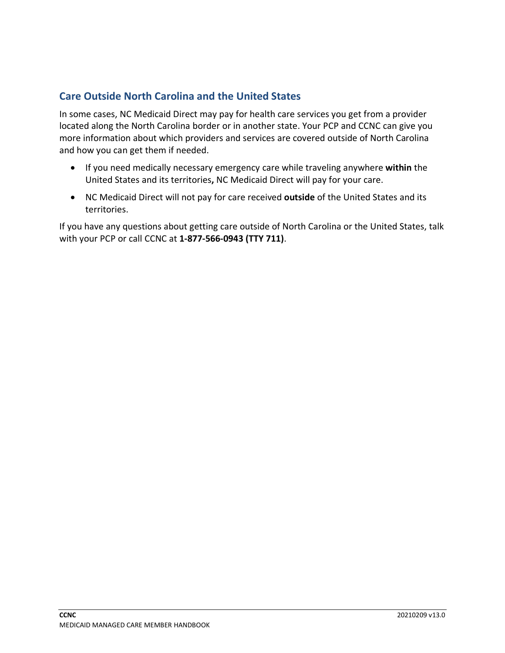# **Care Outside North Carolina and the United States**

In some cases, NC Medicaid Direct may pay for health care services you get from a provider located along the North Carolina border or in another state. Your PCP and CCNC can give you more information about which providers and services are covered outside of North Carolina and how you can get them if needed.

- If you need medically necessary emergency care while traveling anywhere **within** the United States and its territories**,** NC Medicaid Direct will pay for your care.
- NC Medicaid Direct will not pay for care received **outside** of the United States and its territories.

If you have any questions about getting care outside of North Carolina or the United States, talk with your PCP or call CCNC at **1-877-566-0943 (TTY 711)**.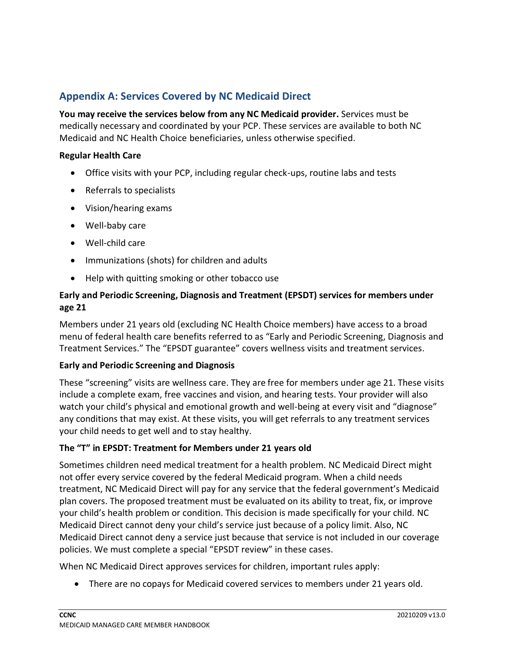# **Appendix A: Services Covered by NC Medicaid Direct**

**You may receive the services below from any NC Medicaid provider.** Services must be medically necessary and coordinated by your PCP. These services are available to both NC Medicaid and NC Health Choice beneficiaries, unless otherwise specified.

#### **Regular Health Care**

- Office visits with your PCP, including regular check-ups, routine labs and tests
- Referrals to specialists
- Vision/hearing exams
- Well-baby care
- Well-child care
- Immunizations (shots) for children and adults
- Help with quitting smoking or other tobacco use

## **Early and Periodic Screening, Diagnosis and Treatment (EPSDT) services for members under age 21**

Members under 21 years old (excluding NC Health Choice members) have access to a broad menu of federal health care benefits referred to as "Early and Periodic Screening, Diagnosis and Treatment Services." The "EPSDT guarantee" covers wellness visits and treatment services.

#### **Early and Periodic Screening and Diagnosis**

These "screening" visits are wellness care. They are free for members under age 21. These visits include a complete exam, free vaccines and vision, and hearing tests. Your provider will also watch your child's physical and emotional growth and well-being at every visit and "diagnose" any conditions that may exist. At these visits, you will get referrals to any treatment services your child needs to get well and to stay healthy.

#### **The "T" in EPSDT: Treatment for Members under 21 years old**

Sometimes children need medical treatment for a health problem. NC Medicaid Direct might not offer every service covered by the federal Medicaid program. When a child needs treatment, NC Medicaid Direct will pay for any service that the federal government's Medicaid plan covers. The proposed treatment must be evaluated on its ability to treat, fix, or improve your child's health problem or condition. This decision is made specifically for your child. NC Medicaid Direct cannot deny your child's service just because of a policy limit. Also, NC Medicaid Direct cannot deny a service just because that service is not included in our coverage policies. We must complete a special "EPSDT review" in these cases.

When NC Medicaid Direct approves services for children, important rules apply:

• There are no copays for Medicaid covered services to members under 21 years old.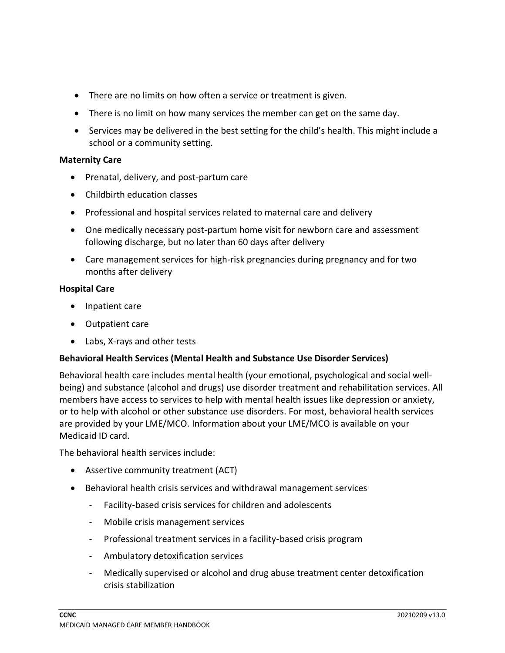- There are no limits on how often a service or treatment is given.
- There is no limit on how many services the member can get on the same day.
- Services may be delivered in the best setting for the child's health. This might include a school or a community setting.

#### **Maternity Care**

- Prenatal, delivery, and post-partum care
- Childbirth education classes
- Professional and hospital services related to maternal care and delivery
- One medically necessary post-partum home visit for newborn care and assessment following discharge, but no later than 60 days after delivery
- Care management services for high-risk pregnancies during pregnancy and for two months after delivery

#### **Hospital Care**

- Inpatient care
- Outpatient care
- Labs, X-rays and other tests

#### **Behavioral Health Services (Mental Health and Substance Use Disorder Services)**

Behavioral health care includes mental health (your emotional, psychological and social wellbeing) and substance (alcohol and drugs) use disorder treatment and rehabilitation services. All members have access to services to help with mental health issues like depression or anxiety, or to help with alcohol or other substance use disorders. For most, behavioral health services are provided by your LME/MCO. Information about your LME/MCO is available on your Medicaid ID card.

The behavioral health services include:

- Assertive community treatment (ACT)
- Behavioral health crisis services and withdrawal management services
	- Facility‑based crisis services for children and adolescents
	- Mobile crisis management services
	- Professional treatment services in a facility-based crisis program
	- Ambulatory detoxification services
	- Medically supervised or alcohol and drug abuse treatment center detoxification crisis stabilization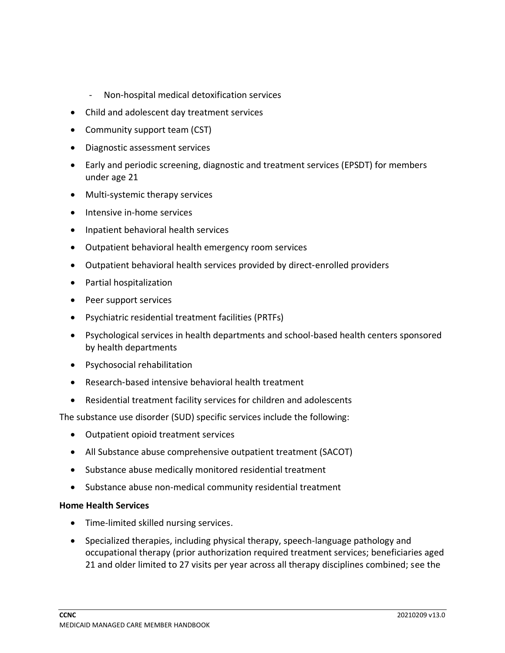- Non-hospital medical detoxification services
- Child and adolescent day treatment services
- Community support team (CST)
- Diagnostic assessment services
- Early and periodic screening, diagnostic and treatment services (EPSDT) for members under age 21
- Multi-systemic therapy services
- Intensive in-home services
- Inpatient behavioral health services
- Outpatient behavioral health emergency room services
- Outpatient behavioral health services provided by direct-enrolled providers
- Partial hospitalization
- Peer support services
- Psychiatric residential treatment facilities (PRTFs)
- Psychological services in health departments and school-based health centers sponsored by health departments
- Psychosocial rehabilitation
- Research-based intensive behavioral health treatment
- Residential treatment facility services for children and adolescents

The substance use disorder (SUD) specific services include the following:

- Outpatient opioid treatment services
- All Substance abuse comprehensive outpatient treatment (SACOT)
- Substance abuse medically monitored residential treatment
- Substance abuse non-medical community residential treatment

#### **Home Health Services**

- Time-limited skilled nursing services.
- Specialized therapies, including physical therapy, speech-language pathology and occupational therapy (prior authorization required treatment services; beneficiaries aged 21 and older limited to 27 visits per year across all therapy disciplines combined; see the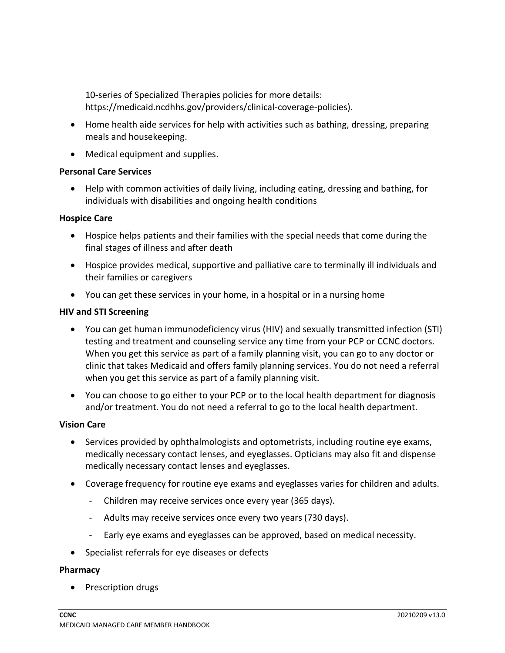10-series of Specialized Therapies policies for more details: https://medicaid.ncdhhs.gov/providers/clinical-coverage-policies).

- Home health aide services for help with activities such as bathing, dressing, preparing meals and housekeeping.
- Medical equipment and supplies.

#### **Personal Care Services**

• Help with common activities of daily living, including eating, dressing and bathing, for individuals with disabilities and ongoing health conditions

#### **Hospice Care**

- Hospice helps patients and their families with the special needs that come during the final stages of illness and after death
- Hospice provides medical, supportive and palliative care to terminally ill individuals and their families or caregivers
- You can get these services in your home, in a hospital or in a nursing home

#### **HIV and STI Screening**

- You can get human immunodeficiency virus (HIV) and sexually transmitted infection (STI) testing and treatment and counseling service any time from your PCP or CCNC doctors. When you get this service as part of a family planning visit, you can go to any doctor or clinic that takes Medicaid and offers family planning services. You do not need a referral when you get this service as part of a family planning visit.
- You can choose to go either to your PCP or to the local health department for diagnosis and/or treatment. You do not need a referral to go to the local health department.

#### **Vision Care**

- Services provided by ophthalmologists and optometrists, including routine eye exams, medically necessary contact lenses, and eyeglasses. Opticians may also fit and dispense medically necessary contact lenses and eyeglasses.
- Coverage frequency for routine eye exams and eyeglasses varies for children and adults.
	- Children may receive services once every year (365 days).
	- Adults may receive services once every two years (730 days).
	- Early eye exams and eyeglasses can be approved, based on medical necessity.
- Specialist referrals for eye diseases or defects

#### **Pharmacy**

• Prescription drugs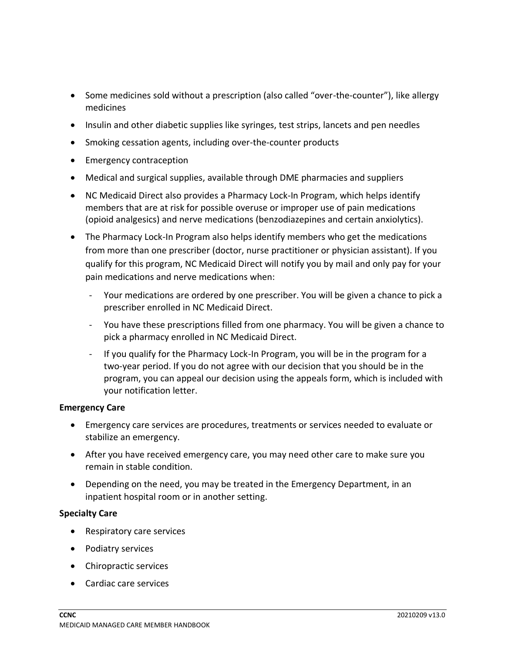- Some medicines sold without a prescription (also called "over-the-counter"), like allergy medicines
- Insulin and other diabetic supplies like syringes, test strips, lancets and pen needles
- Smoking cessation agents, including over-the-counter products
- Emergency contraception
- Medical and surgical supplies, available through DME pharmacies and suppliers
- NC Medicaid Direct also provides a Pharmacy Lock-In Program, which helps identify members that are at risk for possible overuse or improper use of pain medications (opioid analgesics) and nerve medications (benzodiazepines and certain anxiolytics).
- The Pharmacy Lock-In Program also helps identify members who get the medications from more than one prescriber (doctor, nurse practitioner or physician assistant). If you qualify for this program, NC Medicaid Direct will notify you by mail and only pay for your pain medications and nerve medications when:
	- Your medications are ordered by one prescriber. You will be given a chance to pick a prescriber enrolled in NC Medicaid Direct.
	- You have these prescriptions filled from one pharmacy. You will be given a chance to pick a pharmacy enrolled in NC Medicaid Direct.
	- If you qualify for the Pharmacy Lock-In Program, you will be in the program for a two-year period. If you do not agree with our decision that you should be in the program, you can appeal our decision using the appeals form, which is included with your notification letter.

#### **Emergency Care**

- Emergency care services are procedures, treatments or services needed to evaluate or stabilize an emergency.
- After you have received emergency care, you may need other care to make sure you remain in stable condition.
- Depending on the need, you may be treated in the Emergency Department, in an inpatient hospital room or in another setting.

#### **Specialty Care**

- Respiratory care services
- Podiatry services
- Chiropractic services
- Cardiac care services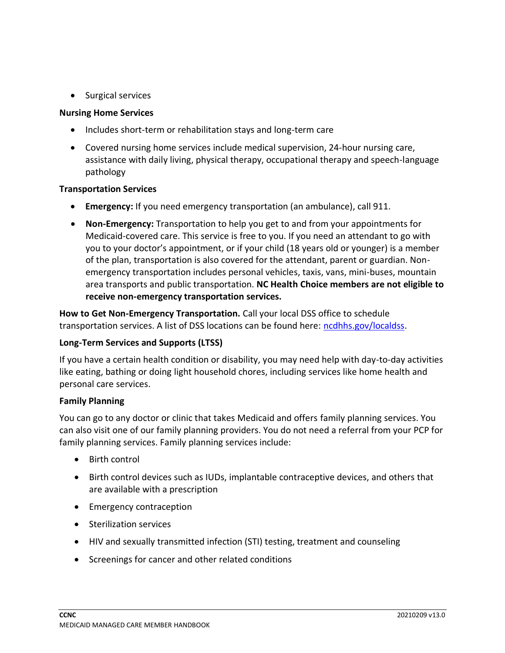• Surgical services

#### **Nursing Home Services**

- Includes short-term or rehabilitation stays and long-term care
- Covered nursing home services include medical supervision, 24-hour nursing care, assistance with daily living, physical therapy, occupational therapy and speech-language pathology

#### **Transportation Services**

- **Emergency:** If you need emergency transportation (an ambulance), call 911.
- **Non-Emergency:** Transportation to help you get to and from your appointments for Medicaid-covered care. This service is free to you. If you need an attendant to go with you to your doctor's appointment, or if your child (18 years old or younger) is a member of the plan, transportation is also covered for the attendant, parent or guardian. Nonemergency transportation includes personal vehicles, taxis, vans, mini-buses, mountain area transports and public transportation. **NC Health Choice members are not eligible to receive non-emergency transportation services.**

**How to Get Non-Emergency Transportation.** Call your local DSS office to schedule transportation services. A list of DSS locations can be found here: [ncdhhs.gov/localdss.](https://www.ncdhhs.gov/divisions/social-services/local-dss-directory)

# **Long-Term Services and Supports (LTSS)**

If you have a certain health condition or disability, you may need help with day-to-day activities like eating, bathing or doing light household chores, including services like home health and personal care services.

#### **Family Planning**

You can go to any doctor or clinic that takes Medicaid and offers family planning services. You can also visit one of our family planning providers. You do not need a referral from your PCP for family planning services. Family planning services include:

- Birth control
- Birth control devices such as IUDs, implantable contraceptive devices, and others that are available with a prescription
- Emergency contraception
- Sterilization services
- HIV and sexually transmitted infection (STI) testing, treatment and counseling
- Screenings for cancer and other related conditions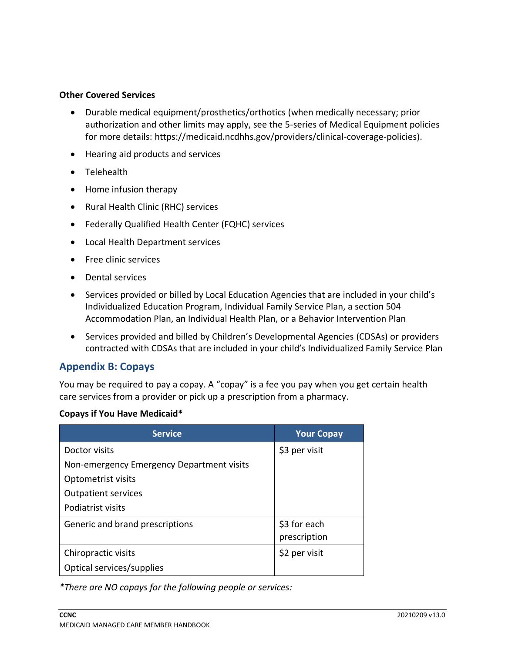#### **Other Covered Services**

- Durable medical equipment/prosthetics/orthotics (when medically necessary; prior authorization and other limits may apply, see the 5-series of Medical Equipment policies for more details: https://medicaid.ncdhhs.gov/providers/clinical-coverage-policies).
- Hearing aid products and services
- Telehealth
- Home infusion therapy
- Rural Health Clinic (RHC) services
- Federally Qualified Health Center (FQHC) services
- Local Health Department services
- Free clinic services
- Dental services
- Services provided or billed by Local Education Agencies that are included in your child's Individualized Education Program, Individual Family Service Plan, a section 504 Accommodation Plan, an Individual Health Plan, or a Behavior Intervention Plan
- Services provided and billed by Children's Developmental Agencies (CDSAs) or providers contracted with CDSAs that are included in your child's Individualized Family Service Plan

# **Appendix B: Copays**

You may be required to pay a copay. A "copay" is a fee you pay when you get certain health care services from a provider or pick up a prescription from a pharmacy.

#### **Copays if You Have Medicaid\***

| <b>Service</b>                            | <b>Your Copay</b> |
|-------------------------------------------|-------------------|
| Doctor visits                             | \$3 per visit     |
| Non-emergency Emergency Department visits |                   |
| Optometrist visits                        |                   |
| <b>Outpatient services</b>                |                   |
| Podiatrist visits                         |                   |
| Generic and brand prescriptions           | \$3 for each      |
|                                           | prescription      |
| Chiropractic visits                       | \$2 per visit     |
| Optical services/supplies                 |                   |

*\*There are NO copays for the following people or services:*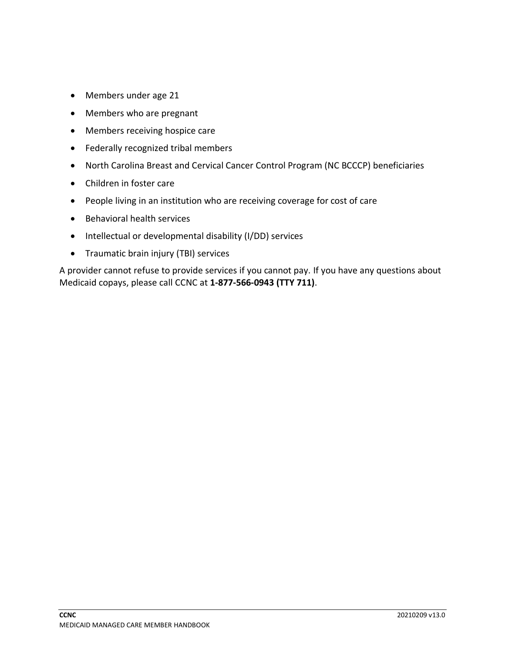- Members under age 21
- Members who are pregnant
- Members receiving hospice care
- Federally recognized tribal members
- North Carolina Breast and Cervical Cancer Control Program (NC BCCCP) beneficiaries
- Children in foster care
- People living in an institution who are receiving coverage for cost of care
- Behavioral health services
- Intellectual or developmental disability (I/DD) services
- Traumatic brain injury (TBI) services

A provider cannot refuse to provide services if you cannot pay. If you have any questions about Medicaid copays, please call CCNC at **1-877-566-0943 (TTY 711)**.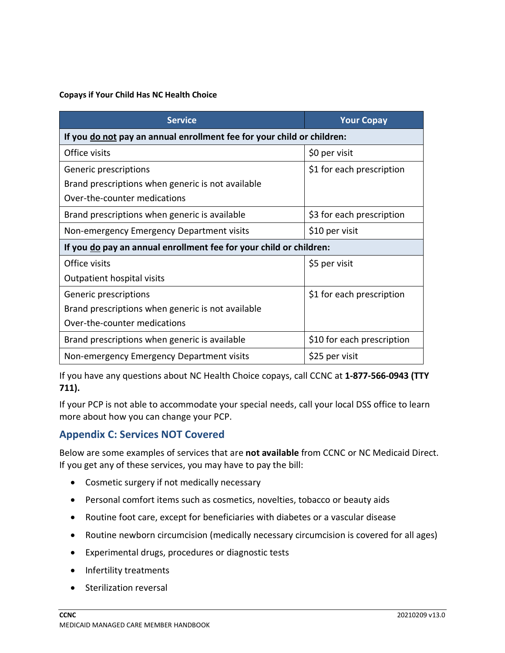#### **Copays if Your Child Has NC Health Choice**

| <b>Service</b>                                                         | <b>Your Copay</b>          |  |
|------------------------------------------------------------------------|----------------------------|--|
| If you do not pay an annual enrollment fee for your child or children: |                            |  |
| Office visits                                                          | \$0 per visit              |  |
| Generic prescriptions                                                  | \$1 for each prescription  |  |
| Brand prescriptions when generic is not available                      |                            |  |
| Over-the-counter medications                                           |                            |  |
| Brand prescriptions when generic is available                          | \$3 for each prescription  |  |
| Non-emergency Emergency Department visits                              | \$10 per visit             |  |
| If you do pay an annual enrollment fee for your child or children:     |                            |  |
| Office visits                                                          | \$5 per visit              |  |
| Outpatient hospital visits                                             |                            |  |
| Generic prescriptions                                                  | \$1 for each prescription  |  |
| Brand prescriptions when generic is not available                      |                            |  |
| Over-the-counter medications                                           |                            |  |
| Brand prescriptions when generic is available                          | \$10 for each prescription |  |
| Non-emergency Emergency Department visits                              | \$25 per visit             |  |

If you have any questions about NC Health Choice copays, call CCNC at **1-877-566-0943 (TTY 711).**

If your PCP is not able to accommodate your special needs, call your local DSS office to learn more about how you can change your PCP.

# **Appendix C: Services NOT Covered**

Below are some examples of services that are **not available** from CCNC or NC Medicaid Direct. If you get any of these services, you may have to pay the bill:

- Cosmetic surgery if not medically necessary
- Personal comfort items such as cosmetics, novelties, tobacco or beauty aids
- Routine foot care, except for beneficiaries with diabetes or a vascular disease
- Routine newborn circumcision (medically necessary circumcision is covered for all ages)
- Experimental drugs, procedures or diagnostic tests
- Infertility treatments
- Sterilization reversal